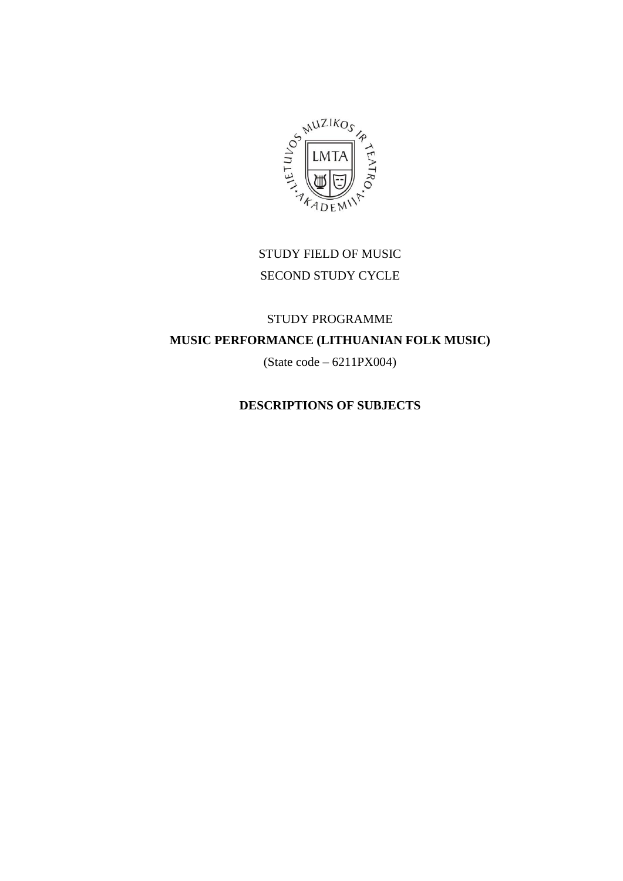

# STUDY FIELD OF MUSIC SECOND STUDY CYCLE

# STUDY PROGRAMME **MUSIC PERFORMANCE (LITHUANIAN FOLK MUSIC)**

(State code – 6211PX004)

## **DESCRIPTIONS OF SUBJECTS**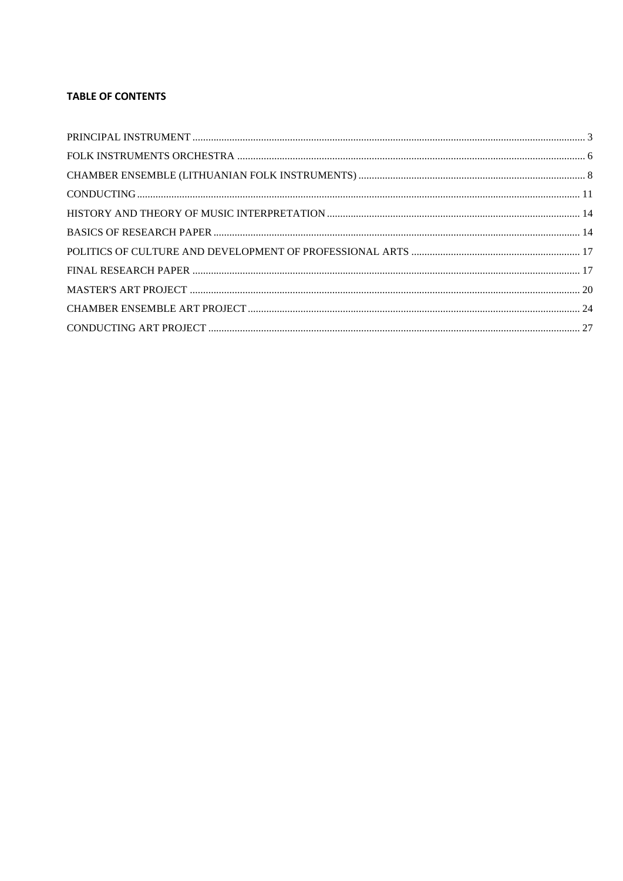#### **TABLE OF CONTENTS**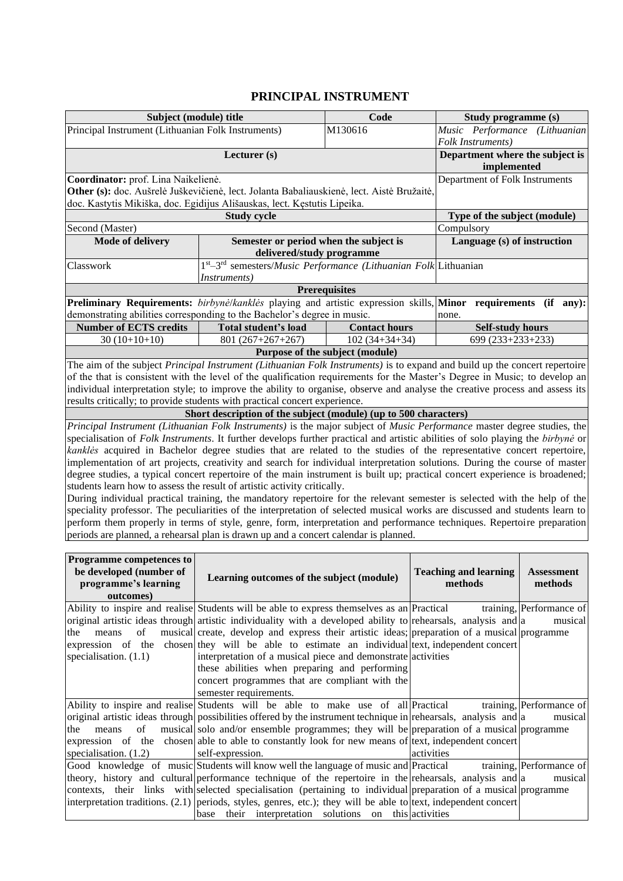#### **PRINCIPAL INSTRUMENT**

<span id="page-2-0"></span>

|                                                                                                                                                                                                                                                                                                                                                                                                                                                                                                                                                                                                                                                                                                                                                                                                                                                                                                                                                                                                                                                                                                                                                                                                                                                                                                                                                                                                                                                                                                                                        |                                                                                                                                                                                                                                                                                                                                                                           | миси ад нотковиди                                                   |            |                                         |                                                                 |  |  |
|----------------------------------------------------------------------------------------------------------------------------------------------------------------------------------------------------------------------------------------------------------------------------------------------------------------------------------------------------------------------------------------------------------------------------------------------------------------------------------------------------------------------------------------------------------------------------------------------------------------------------------------------------------------------------------------------------------------------------------------------------------------------------------------------------------------------------------------------------------------------------------------------------------------------------------------------------------------------------------------------------------------------------------------------------------------------------------------------------------------------------------------------------------------------------------------------------------------------------------------------------------------------------------------------------------------------------------------------------------------------------------------------------------------------------------------------------------------------------------------------------------------------------------------|---------------------------------------------------------------------------------------------------------------------------------------------------------------------------------------------------------------------------------------------------------------------------------------------------------------------------------------------------------------------------|---------------------------------------------------------------------|------------|-----------------------------------------|-----------------------------------------------------------------|--|--|
| Subject (module) title                                                                                                                                                                                                                                                                                                                                                                                                                                                                                                                                                                                                                                                                                                                                                                                                                                                                                                                                                                                                                                                                                                                                                                                                                                                                                                                                                                                                                                                                                                                 |                                                                                                                                                                                                                                                                                                                                                                           | Code                                                                |            | Study programme (s)                     |                                                                 |  |  |
|                                                                                                                                                                                                                                                                                                                                                                                                                                                                                                                                                                                                                                                                                                                                                                                                                                                                                                                                                                                                                                                                                                                                                                                                                                                                                                                                                                                                                                                                                                                                        | M130616<br>Principal Instrument (Lithuanian Folk Instruments)                                                                                                                                                                                                                                                                                                             |                                                                     |            |                                         |                                                                 |  |  |
|                                                                                                                                                                                                                                                                                                                                                                                                                                                                                                                                                                                                                                                                                                                                                                                                                                                                                                                                                                                                                                                                                                                                                                                                                                                                                                                                                                                                                                                                                                                                        |                                                                                                                                                                                                                                                                                                                                                                           | Folk Instruments)<br>Department where the subject is<br>implemented |            |                                         |                                                                 |  |  |
| Coordinator: prof. Lina Naikelienė.                                                                                                                                                                                                                                                                                                                                                                                                                                                                                                                                                                                                                                                                                                                                                                                                                                                                                                                                                                                                                                                                                                                                                                                                                                                                                                                                                                                                                                                                                                    |                                                                                                                                                                                                                                                                                                                                                                           |                                                                     |            | Department of Folk Instruments          |                                                                 |  |  |
| Other (s): doc. Aušrelė Juškevičienė, lect. Jolanta Babaliauskienė, lect. Aistė Bružaitė,                                                                                                                                                                                                                                                                                                                                                                                                                                                                                                                                                                                                                                                                                                                                                                                                                                                                                                                                                                                                                                                                                                                                                                                                                                                                                                                                                                                                                                              |                                                                                                                                                                                                                                                                                                                                                                           |                                                                     |            |                                         |                                                                 |  |  |
| doc. Kastytis Mikiška, doc. Egidijus Ališauskas, lect. Kęstutis Lipeika.                                                                                                                                                                                                                                                                                                                                                                                                                                                                                                                                                                                                                                                                                                                                                                                                                                                                                                                                                                                                                                                                                                                                                                                                                                                                                                                                                                                                                                                               |                                                                                                                                                                                                                                                                                                                                                                           |                                                                     |            |                                         |                                                                 |  |  |
|                                                                                                                                                                                                                                                                                                                                                                                                                                                                                                                                                                                                                                                                                                                                                                                                                                                                                                                                                                                                                                                                                                                                                                                                                                                                                                                                                                                                                                                                                                                                        | <b>Study cycle</b>                                                                                                                                                                                                                                                                                                                                                        |                                                                     |            | Type of the subject (module)            |                                                                 |  |  |
| Second (Master)                                                                                                                                                                                                                                                                                                                                                                                                                                                                                                                                                                                                                                                                                                                                                                                                                                                                                                                                                                                                                                                                                                                                                                                                                                                                                                                                                                                                                                                                                                                        |                                                                                                                                                                                                                                                                                                                                                                           |                                                                     |            | Compulsory                              |                                                                 |  |  |
| <b>Mode of delivery</b>                                                                                                                                                                                                                                                                                                                                                                                                                                                                                                                                                                                                                                                                                                                                                                                                                                                                                                                                                                                                                                                                                                                                                                                                                                                                                                                                                                                                                                                                                                                | Semester or period when the subject is<br>delivered/study programme                                                                                                                                                                                                                                                                                                       |                                                                     |            | Language (s) of instruction             |                                                                 |  |  |
| Classwork                                                                                                                                                                                                                                                                                                                                                                                                                                                                                                                                                                                                                                                                                                                                                                                                                                                                                                                                                                                                                                                                                                                                                                                                                                                                                                                                                                                                                                                                                                                              | 1 <sup>st</sup> -3 <sup>rd</sup> semesters/ <i>Music Performance (Lithuanian Folk</i> Lithuanian                                                                                                                                                                                                                                                                          |                                                                     |            |                                         |                                                                 |  |  |
|                                                                                                                                                                                                                                                                                                                                                                                                                                                                                                                                                                                                                                                                                                                                                                                                                                                                                                                                                                                                                                                                                                                                                                                                                                                                                                                                                                                                                                                                                                                                        | Instruments)                                                                                                                                                                                                                                                                                                                                                              |                                                                     |            |                                         |                                                                 |  |  |
|                                                                                                                                                                                                                                                                                                                                                                                                                                                                                                                                                                                                                                                                                                                                                                                                                                                                                                                                                                                                                                                                                                                                                                                                                                                                                                                                                                                                                                                                                                                                        |                                                                                                                                                                                                                                                                                                                                                                           | <b>Prerequisites</b>                                                |            |                                         |                                                                 |  |  |
| Preliminary Requirements: birbynė/kanklės playing and artistic expression skills, Minor requirements (if any):<br>demonstrating abilities corresponding to the Bachelor's degree in music.                                                                                                                                                                                                                                                                                                                                                                                                                                                                                                                                                                                                                                                                                                                                                                                                                                                                                                                                                                                                                                                                                                                                                                                                                                                                                                                                             |                                                                                                                                                                                                                                                                                                                                                                           |                                                                     |            | none.                                   |                                                                 |  |  |
| <b>Number of ECTS credits</b>                                                                                                                                                                                                                                                                                                                                                                                                                                                                                                                                                                                                                                                                                                                                                                                                                                                                                                                                                                                                                                                                                                                                                                                                                                                                                                                                                                                                                                                                                                          | Total student's load                                                                                                                                                                                                                                                                                                                                                      | <b>Contact hours</b>                                                |            | <b>Self-study hours</b>                 |                                                                 |  |  |
| $30(10+10+10)$                                                                                                                                                                                                                                                                                                                                                                                                                                                                                                                                                                                                                                                                                                                                                                                                                                                                                                                                                                                                                                                                                                                                                                                                                                                                                                                                                                                                                                                                                                                         | $801(267+267+267)$                                                                                                                                                                                                                                                                                                                                                        | $102(34+34+34)$                                                     |            | 699 (233+233+233)                       |                                                                 |  |  |
|                                                                                                                                                                                                                                                                                                                                                                                                                                                                                                                                                                                                                                                                                                                                                                                                                                                                                                                                                                                                                                                                                                                                                                                                                                                                                                                                                                                                                                                                                                                                        |                                                                                                                                                                                                                                                                                                                                                                           | Purpose of the subject (module)                                     |            |                                         |                                                                 |  |  |
| The aim of the subject Principal Instrument (Lithuanian Folk Instruments) is to expand and build up the concert repertoire<br>of the that is consistent with the level of the qualification requirements for the Master's Degree in Music; to develop an<br>individual interpretation style; to improve the ability to organise, observe and analyse the creative process and assess its<br>results critically; to provide students with practical concert experience.<br>Short description of the subject (module) (up to 500 characters)<br>Principal Instrument (Lithuanian Folk Instruments) is the major subject of Music Performance master degree studies, the<br>specialisation of Folk Instruments. It further develops further practical and artistic abilities of solo playing the birbyne or<br>kankles acquired in Bachelor degree studies that are related to the studies of the representative concert repertoire,<br>implementation of art projects, creativity and search for individual interpretation solutions. During the course of master<br>degree studies, a typical concert repertoire of the main instrument is built up; practical concert experience is broadened;<br>students learn how to assess the result of artistic activity critically.<br>During individual practical training, the mandatory repertoire for the relevant semester is selected with the help of the<br>speciality professor. The peculiarities of the interpretation of selected musical works are discussed and students learn to |                                                                                                                                                                                                                                                                                                                                                                           |                                                                     |            |                                         |                                                                 |  |  |
| periods are planned, a rehearsal plan is drawn up and a concert calendar is planned.<br>Programme competences to<br>be developed (number of<br>programme's learning<br>outcomes)                                                                                                                                                                                                                                                                                                                                                                                                                                                                                                                                                                                                                                                                                                                                                                                                                                                                                                                                                                                                                                                                                                                                                                                                                                                                                                                                                       | Learning outcomes of the subject (module)                                                                                                                                                                                                                                                                                                                                 |                                                                     |            | <b>Teaching and learning</b><br>methods | <b>Assessment</b><br>methods                                    |  |  |
| Ability to inspire and realise Students will be able to express themselves as an Practical<br>original artistic ideas through artistic individuality with a developed ability to rehearsals, analysis and $ a $<br>the<br>means<br>of<br>expression of the<br>specialisation. $(1.1)$<br>Ability to inspire and realise Students will be able to make use of all Practical                                                                                                                                                                                                                                                                                                                                                                                                                                                                                                                                                                                                                                                                                                                                                                                                                                                                                                                                                                                                                                                                                                                                                             | musical create, develop and express their artistic ideas; preparation of a musical programme<br>chosen they will be able to estimate an individual text, independent concert<br>interpretation of a musical piece and demonstrate activities<br>these abilities when preparing and performing<br>concert programmes that are compliant with the<br>semester requirements. |                                                                     |            |                                         | training, Performance of<br>musical<br>training, Performance of |  |  |
| original artistic ideas through possibilities offered by the instrument technique in rehearsals, analysis and $ a $<br>the<br>means<br>of<br>expression of the chosen able to able to constantly look for new means of text, independent concert<br>specialisation. (1.2)<br>Good knowledge of music Students will know well the language of music and Practical<br>theory, history and cultural performance technique of the repertoire in the rehearsals, analysis and a<br>contexts, their links with selected specialisation (pertaining to individual preparation of a musical programme<br>interpretation traditions. $(2.1)$ periods, styles, genres, etc.); they will be able to text, independent concert                                                                                                                                                                                                                                                                                                                                                                                                                                                                                                                                                                                                                                                                                                                                                                                                                     | musical solo and/or ensemble programmes; they will be preparation of a musical programme<br>self-expression.<br>base their interpretation solutions on this activities                                                                                                                                                                                                    |                                                                     | activities |                                         | musical<br>training, Performance of<br>musical                  |  |  |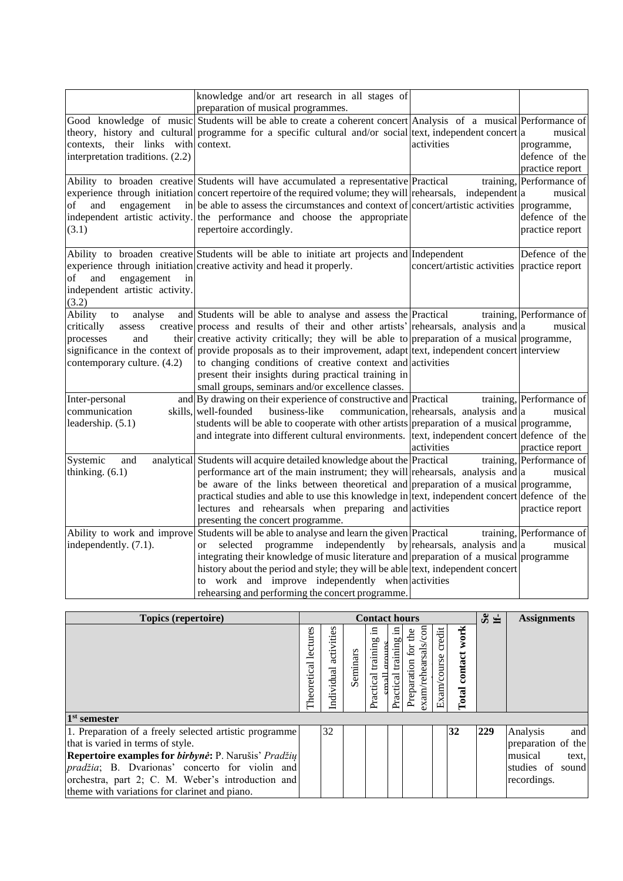|                                     | knowledge and/or art research in all stages of                                                                      |                                           |                          |
|-------------------------------------|---------------------------------------------------------------------------------------------------------------------|-------------------------------------------|--------------------------|
|                                     | preparation of musical programmes.                                                                                  |                                           |                          |
|                                     | Good knowledge of music Students will be able to create a coherent concert Analysis of a musical Performance of     |                                           |                          |
|                                     | theory, history and cultural programme for a specific cultural and/or social text, independent concert a            |                                           | musical                  |
| contexts, their links with context. |                                                                                                                     | activities                                | programme,               |
| interpretation traditions. (2.2)    |                                                                                                                     |                                           | defence of the           |
|                                     |                                                                                                                     |                                           | practice report          |
|                                     | Ability to broaden creative Students will have accumulated a representative Practical                               | training,                                 | Performance of           |
|                                     | experience through initiation concert repertoire of the required volume; they will rehearsals,                      | independent a                             | musical                  |
| of<br>and<br>engagement             | in be able to assess the circumstances and context of concert/artistic activities                                   |                                           | programme,               |
|                                     | independent artistic activity. the performance and choose the appropriate                                           |                                           | defence of the           |
| (3.1)                               | repertoire accordingly.                                                                                             |                                           | practice report          |
|                                     |                                                                                                                     |                                           |                          |
|                                     | Ability to broaden creative Students will be able to initiate art projects and Independent                          |                                           | Defence of the           |
|                                     | experience through initiation creative activity and head it properly.                                               | concert/artistic activities               | practice report          |
| and<br>engagement<br>of<br>in       |                                                                                                                     |                                           |                          |
| independent artistic activity.      |                                                                                                                     |                                           |                          |
| (3.2)                               |                                                                                                                     |                                           |                          |
| Ability<br>analyse<br>to            | and Students will be able to analyse and assess the Practical                                                       |                                           | training, Performance of |
| critically<br>assess                | creative process and results of their and other artists' rehearsals, analysis and $ a $                             |                                           | musical                  |
| and<br>processes                    | their creative activity critically; they will be able to preparation of a musical programme,                        |                                           |                          |
|                                     | significance in the context of provide proposals as to their improvement, adapt text, independent concert interview |                                           |                          |
| contemporary culture. (4.2)         | to changing conditions of creative context and activities                                                           |                                           |                          |
|                                     | present their insights during practical training in                                                                 |                                           |                          |
|                                     | small groups, seminars and/or excellence classes.                                                                   |                                           |                          |
|                                     | and By drawing on their experience of constructive and Practical                                                    |                                           | training, Performance of |
| Inter-personal                      |                                                                                                                     |                                           |                          |
| communication                       | skills, well-founded<br>business-like                                                                               | communication, rehearsals, analysis and a | musical                  |
| leadership. (5.1)                   | students will be able to cooperate with other artists preparation of a musical programme,                           |                                           |                          |
|                                     | and integrate into different cultural environments. [text, independent concert defence of the                       |                                           |                          |
|                                     |                                                                                                                     | activities                                | practice report          |
| Systemic<br>and                     | analytical Students will acquire detailed knowledge about the Practical                                             |                                           | training, Performance of |
| thinking. $(6.1)$                   | performance art of the main instrument; they will rehearsals, analysis and $ a $                                    |                                           | musical                  |
|                                     | be aware of the links between theoretical and preparation of a musical programme,                                   |                                           |                          |
|                                     | practical studies and able to use this knowledge in text, independent concert defence of the                        |                                           |                          |
|                                     | lectures and rehearsals when preparing and activities                                                               |                                           | practice report          |
|                                     | presenting the concert programme.                                                                                   |                                           |                          |
|                                     | Ability to work and improve Students will be able to analyse and learn the given Practical                          |                                           | training, Performance of |
| independently. (7.1).               | selected programme independently by rehearsals, analysis and $ a $<br><sub>or</sub>                                 |                                           | musical                  |
|                                     | integrating their knowledge of music literature and preparation of a musical programme                              |                                           |                          |
|                                     | history about the period and style; they will be able text, independent concert                                     |                                           |                          |
|                                     | to work and improve independently when activities                                                                   |                                           |                          |
|                                     | rehearsing and performing the concert programme.                                                                    |                                           |                          |

| Topics (repertoire)                                          |                         |                          |          | <b>Contact hours</b>     |                          |                                            |                    |                          | Se the | <b>Assignments</b> |
|--------------------------------------------------------------|-------------------------|--------------------------|----------|--------------------------|--------------------------|--------------------------------------------|--------------------|--------------------------|--------|--------------------|
|                                                              | lectures<br>Theoretical | activities<br>Individual | Seminars | 르.<br>Practical training | .크<br>Practical training | exam/rehearsals/com<br>Preparation for the | Exam/course credit | work<br>contact<br>Total |        |                    |
| $1st$ semester                                               |                         |                          |          |                          |                          |                                            |                    |                          |        |                    |
| 1. Preparation of a freely selected artistic programme       |                         | 32                       |          |                          |                          |                                            |                    | 32                       | 229    | and<br>Analysis    |
| that is varied in terms of style.                            |                         |                          |          |                          |                          |                                            |                    |                          |        | preparation of the |
| Repertoire examples for <i>birbynė</i> : P. Narušis' Pradžių |                         |                          |          |                          |                          |                                            |                    |                          |        | musical<br>text,   |
| <i>pradžia</i> ; B. Dvarionas' concerto for violin and       |                         |                          |          |                          |                          |                                            |                    |                          |        | studies of sound   |
| orchestra, part 2; C. M. Weber's introduction and            |                         |                          |          |                          |                          |                                            |                    |                          |        | recordings.        |
| theme with variations for clarinet and piano.                |                         |                          |          |                          |                          |                                            |                    |                          |        |                    |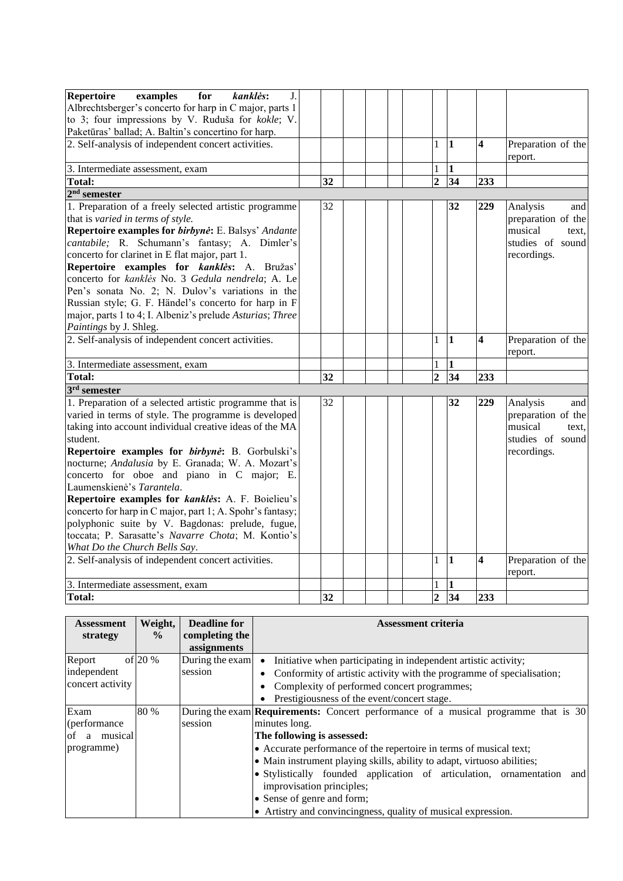| <b>Repertoire</b><br>examples<br>for<br>kanklės:<br>J.    |    |  |                |                         |                         |                    |
|-----------------------------------------------------------|----|--|----------------|-------------------------|-------------------------|--------------------|
| Albrechtsberger's concerto for harp in C major, parts 1   |    |  |                |                         |                         |                    |
| to 3; four impressions by V. Ruduša for kokle; V.         |    |  |                |                         |                         |                    |
| Paketūras' ballad; A. Baltin's concertino for harp.       |    |  |                |                         |                         |                    |
| 2. Self-analysis of independent concert activities.       |    |  | $\mathbf{1}$   | $\vert$ 1               | $\overline{\mathbf{4}}$ | Preparation of the |
|                                                           |    |  |                |                         |                         | report.            |
| 3. Intermediate assessment, exam                          |    |  | $\mathbf{1}$   | $\mathbf{1}$            |                         |                    |
| <b>Total:</b>                                             | 32 |  | $\overline{2}$ | 34                      | 233                     |                    |
| $2nd$ semester                                            |    |  |                |                         |                         |                    |
| 1. Preparation of a freely selected artistic programme    | 32 |  |                | 32                      | 229                     | Analysis<br>and    |
| that is varied in terms of style.                         |    |  |                |                         |                         | preparation of the |
| Repertoire examples for birbynė: E. Balsys' Andante       |    |  |                |                         |                         | musical<br>text.   |
| cantabile; R. Schumann's fantasy; A. Dimler's             |    |  |                |                         |                         | studies of sound   |
| concerto for clarinet in E flat major, part 1.            |    |  |                |                         |                         | recordings.        |
| Repertoire examples for kanklės: A. Bružas'               |    |  |                |                         |                         |                    |
| concerto for kanklės No. 3 Gedula nendrela; A. Le         |    |  |                |                         |                         |                    |
| Pen's sonata No. 2; N. Dulov's variations in the          |    |  |                |                         |                         |                    |
| Russian style; G. F. Händel's concerto for harp in F      |    |  |                |                         |                         |                    |
| major, parts 1 to 4; I. Albeniz's prelude Asturias; Three |    |  |                |                         |                         |                    |
| Paintings by J. Shleg.                                    |    |  |                |                         |                         |                    |
| 2. Self-analysis of independent concert activities.       |    |  | $\mathbf{1}$   | 1                       | $\overline{\mathbf{4}}$ | Preparation of the |
|                                                           |    |  |                |                         |                         | report.            |
| 3. Intermediate assessment, exam                          |    |  | 1              | $\mathbf{1}$            |                         |                    |
| Total:                                                    | 32 |  | $\overline{2}$ | 34                      | 233                     |                    |
| $3rd$ semester                                            |    |  |                |                         |                         |                    |
| 1. Preparation of a selected artistic programme that is   | 32 |  |                | 32                      | 229                     | Analysis<br>and    |
| varied in terms of style. The programme is developed      |    |  |                |                         |                         | preparation of the |
| taking into account individual creative ideas of the MA   |    |  |                |                         |                         | musical<br>text.   |
| student.                                                  |    |  |                |                         |                         | studies of sound   |
| Repertoire examples for birbynė: B. Gorbulski's           |    |  |                |                         |                         | recordings.        |
| nocturne; Andalusia by E. Granada; W. A. Mozart's         |    |  |                |                         |                         |                    |
| concerto for oboe and piano in C major; E.                |    |  |                |                         |                         |                    |
| Laumenskienė's Tarantela.                                 |    |  |                |                         |                         |                    |
| Repertoire examples for kanklės: A. F. Boielieu's         |    |  |                |                         |                         |                    |
| concerto for harp in C major, part 1; A. Spohr's fantasy; |    |  |                |                         |                         |                    |
| polyphonic suite by V. Bagdonas: prelude, fugue,          |    |  |                |                         |                         |                    |
| toccata; P. Sarasatte's Navarre Chota; M. Kontio's        |    |  |                |                         |                         |                    |
| What Do the Church Bells Say.                             |    |  |                |                         |                         |                    |
| 2. Self-analysis of independent concert activities.       |    |  | $\mathbf{1}$   | $\overline{\mathbf{1}}$ | $\overline{\mathbf{4}}$ | Preparation of the |
|                                                           |    |  |                |                         |                         | report.            |
| 3. Intermediate assessment, exam                          |    |  |                | 1                       |                         |                    |
| <b>Total:</b>                                             | 32 |  | $\overline{2}$ | 34                      | 233                     |                    |

| <b>Assessment</b>  | Weight,       | <b>Deadline for</b> | <b>Assessment criteria</b>                                                                 |
|--------------------|---------------|---------------------|--------------------------------------------------------------------------------------------|
| strategy           | $\frac{6}{9}$ | completing the      |                                                                                            |
|                    |               | assignments         |                                                                                            |
| Report             | of $20%$      | During the exam     | Initiative when participating in independent artistic activity;<br>$\bullet$               |
| independent        |               | session             | Conformity of artistic activity with the programme of specialisation;                      |
| concert activity   |               |                     | Complexity of performed concert programmes;                                                |
|                    |               |                     | Prestigiousness of the event/concert stage.                                                |
| Exam               | 80 %          |                     | During the exam <b>Requirements:</b> Concert performance of a musical programme that is 30 |
| (performance)      |               | session             | minutes long.                                                                              |
| musical<br>of<br>a |               |                     | The following is assessed:                                                                 |
| programme)         |               |                     | • Accurate performance of the repertoire in terms of musical text;                         |
|                    |               |                     | • Main instrument playing skills, ability to adapt, virtuoso abilities;                    |
|                    |               |                     | • Stylistically founded application of articulation, ornamentation and                     |
|                    |               |                     | improvisation principles;                                                                  |
|                    |               |                     | • Sense of genre and form;                                                                 |
|                    |               |                     | • Artistry and convincingness, quality of musical expression.                              |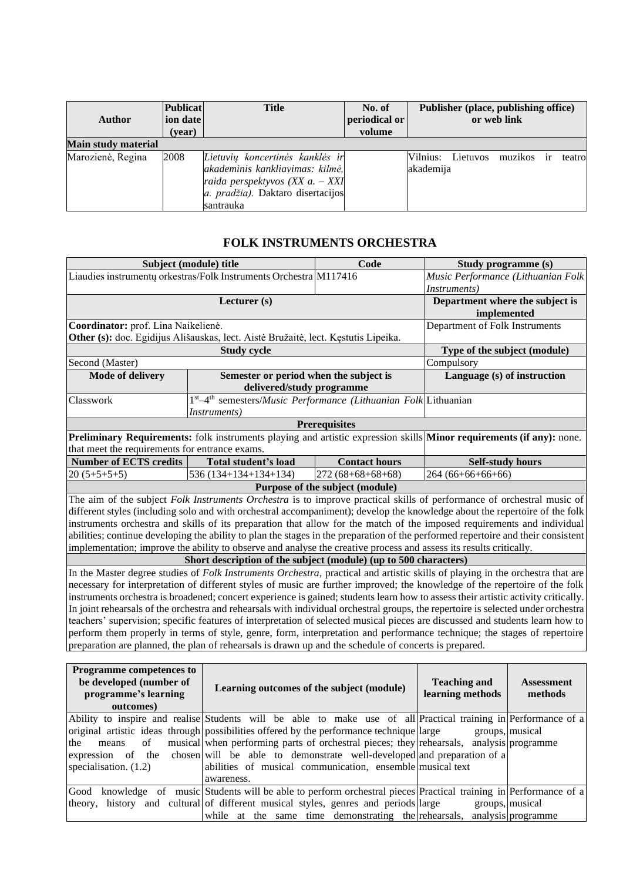| <b>Author</b>              | <b>Publicat</b><br>ion date<br>(year) | <b>Title</b>                                                                                                                                              | No. of<br>periodical or<br>volume |                       |          | Publisher (place, publishing office)<br>or web link |               |         |
|----------------------------|---------------------------------------|-----------------------------------------------------------------------------------------------------------------------------------------------------------|-----------------------------------|-----------------------|----------|-----------------------------------------------------|---------------|---------|
| <b>Main study material</b> |                                       |                                                                                                                                                           |                                   |                       |          |                                                     |               |         |
| Marozienė, Regina          | 2008                                  | Lietuvių koncertinės kanklės ir<br>akademinis kankliavimas: kilmė,<br>raida perspektyvos (XX a. $-$ XXI<br>a. pradžia). Daktaro disertacijos<br>santrauka |                                   | Vilnius:<br>akademija | Lietuvos | muzikos                                             | <sub>ir</sub> | teatrol |

#### **FOLK INSTRUMENTS ORCHESTRA**

<span id="page-5-0"></span>

|                                                | Subject (module) title                                                                                                             | Code                                                                                       | Study programme (s)                |                    |  |  |  |  |  |
|------------------------------------------------|------------------------------------------------------------------------------------------------------------------------------------|--------------------------------------------------------------------------------------------|------------------------------------|--------------------|--|--|--|--|--|
|                                                | Liaudies instrumenty orkestras/Folk Instruments Orchestra M117416                                                                  |                                                                                            | Music Performance (Lithuanian Folk |                    |  |  |  |  |  |
|                                                |                                                                                                                                    |                                                                                            | Instruments)                       |                    |  |  |  |  |  |
|                                                | Lecturer (s)                                                                                                                       |                                                                                            | Department where the subject is    |                    |  |  |  |  |  |
|                                                |                                                                                                                                    |                                                                                            | implemented                        |                    |  |  |  |  |  |
| Coordinator: prof. Lina Naikelienė.            |                                                                                                                                    |                                                                                            | Department of Folk Instruments     |                    |  |  |  |  |  |
|                                                | Other (s): doc. Egidijus Ališauskas, lect. Aistė Bružaitė, lect. Kęstutis Lipeika.                                                 |                                                                                            |                                    |                    |  |  |  |  |  |
|                                                | <b>Study cycle</b>                                                                                                                 |                                                                                            | Type of the subject (module)       |                    |  |  |  |  |  |
| Second (Master)                                |                                                                                                                                    |                                                                                            | Compulsory                         |                    |  |  |  |  |  |
| <b>Mode of delivery</b>                        | Semester or period when the subject is                                                                                             |                                                                                            | Language (s) of instruction        |                    |  |  |  |  |  |
|                                                | delivered/study programme                                                                                                          |                                                                                            |                                    |                    |  |  |  |  |  |
| Classwork                                      | 1st-4 <sup>th</sup> semesters/ <i>Music Performance (Lithuanian Folk</i> Lithuanian                                                |                                                                                            |                                    |                    |  |  |  |  |  |
|                                                | <i>Instruments</i> )                                                                                                               |                                                                                            |                                    |                    |  |  |  |  |  |
|                                                |                                                                                                                                    | <b>Prerequisites</b>                                                                       |                                    |                    |  |  |  |  |  |
|                                                | Preliminary Requirements: folk instruments playing and artistic expression skills Minor requirements (if any): none.               |                                                                                            |                                    |                    |  |  |  |  |  |
| that meet the requirements for entrance exams. |                                                                                                                                    |                                                                                            |                                    |                    |  |  |  |  |  |
| <b>Number of ECTS credits</b>                  | Total student's load                                                                                                               | <b>Contact hours</b>                                                                       | <b>Self-study hours</b>            |                    |  |  |  |  |  |
| $20(5+5+5+5)$                                  | 536 (134+134+134+134)                                                                                                              | $272(68+68+68+68)$                                                                         | 264 (66+66+66+66)                  |                    |  |  |  |  |  |
|                                                |                                                                                                                                    | Purpose of the subject (module)                                                            |                                    |                    |  |  |  |  |  |
|                                                | The aim of the subject Folk Instruments Orchestra is to improve practical skills of performance of orchestral music of             |                                                                                            |                                    |                    |  |  |  |  |  |
|                                                | different styles (including solo and with orchestral accompaniment); develop the knowledge about the repertoire of the folk        |                                                                                            |                                    |                    |  |  |  |  |  |
|                                                | instruments orchestra and skills of its preparation that allow for the match of the imposed requirements and individual            |                                                                                            |                                    |                    |  |  |  |  |  |
|                                                | abilities; continue developing the ability to plan the stages in the preparation of the performed repertoire and their consistent  |                                                                                            |                                    |                    |  |  |  |  |  |
|                                                | implementation; improve the ability to observe and analyse the creative process and assess its results critically.                 |                                                                                            |                                    |                    |  |  |  |  |  |
|                                                | Short description of the subject (module) (up to 500 characters)                                                                   |                                                                                            |                                    |                    |  |  |  |  |  |
|                                                | In the Master degree studies of Folk Instruments Orchestra, practical and artistic skills of playing in the orchestra that are     |                                                                                            |                                    |                    |  |  |  |  |  |
|                                                | necessary for interpretation of different styles of music are further improved; the knowledge of the repertoire of the folk        |                                                                                            |                                    |                    |  |  |  |  |  |
|                                                | instruments orchestra is broadened; concert experience is gained; students learn how to assess their artistic activity critically. |                                                                                            |                                    |                    |  |  |  |  |  |
|                                                | In joint rehearsals of the orchestra and rehearsals with individual orchestral groups, the repertoire is selected under orchestra  |                                                                                            |                                    |                    |  |  |  |  |  |
|                                                | teachers' supervision; specific features of interpretation of selected musical pieces are discussed and students learn how to      |                                                                                            |                                    |                    |  |  |  |  |  |
|                                                | perform them properly in terms of style, genre, form, interpretation and performance technique; the stages of repertoire           |                                                                                            |                                    |                    |  |  |  |  |  |
|                                                | preparation are planned, the plan of rehearsals is drawn up and the schedule of concerts is prepared.                              |                                                                                            |                                    |                    |  |  |  |  |  |
|                                                |                                                                                                                                    |                                                                                            |                                    |                    |  |  |  |  |  |
| Programme competences to                       |                                                                                                                                    |                                                                                            |                                    |                    |  |  |  |  |  |
| be developed (number of                        |                                                                                                                                    |                                                                                            | <b>Teaching and</b>                | <b>Assessment</b>  |  |  |  |  |  |
| programme's learning                           | Learning outcomes of the subject (module)                                                                                          |                                                                                            | learning methods                   | methods            |  |  |  |  |  |
| outcomes)                                      |                                                                                                                                    |                                                                                            |                                    |                    |  |  |  |  |  |
|                                                | Ability to inspire and realise Students will be able to make use of all Practical training in Performance of a                     |                                                                                            |                                    |                    |  |  |  |  |  |
|                                                | original artistic ideas through possibilities offered by the performance technique large                                           |                                                                                            |                                    | groups, musical    |  |  |  |  |  |
| of<br>the<br>means                             |                                                                                                                                    | musical when performing parts of orchestral pieces; they rehearsals,<br>analysis programme |                                    |                    |  |  |  |  |  |
| expression of<br>the                           |                                                                                                                                    | chosen will be able to demonstrate well-developed and preparation of a                     |                                    |                    |  |  |  |  |  |
| specialisation. (1.2)                          | abilities of musical communication, ensemble musical text                                                                          |                                                                                            |                                    |                    |  |  |  |  |  |
|                                                | awareness.                                                                                                                         |                                                                                            |                                    |                    |  |  |  |  |  |
|                                                | Good knowledge of music Students will be able to perform orchestral pieces Practical training in Performance of a                  |                                                                                            |                                    |                    |  |  |  |  |  |
|                                                | theory, history and cultural of different musical styles, genres and periods large                                                 |                                                                                            |                                    | groups, musical    |  |  |  |  |  |
|                                                | while at the same time demonstrating the rehearsals,                                                                               |                                                                                            |                                    | analysis programme |  |  |  |  |  |
|                                                |                                                                                                                                    |                                                                                            |                                    |                    |  |  |  |  |  |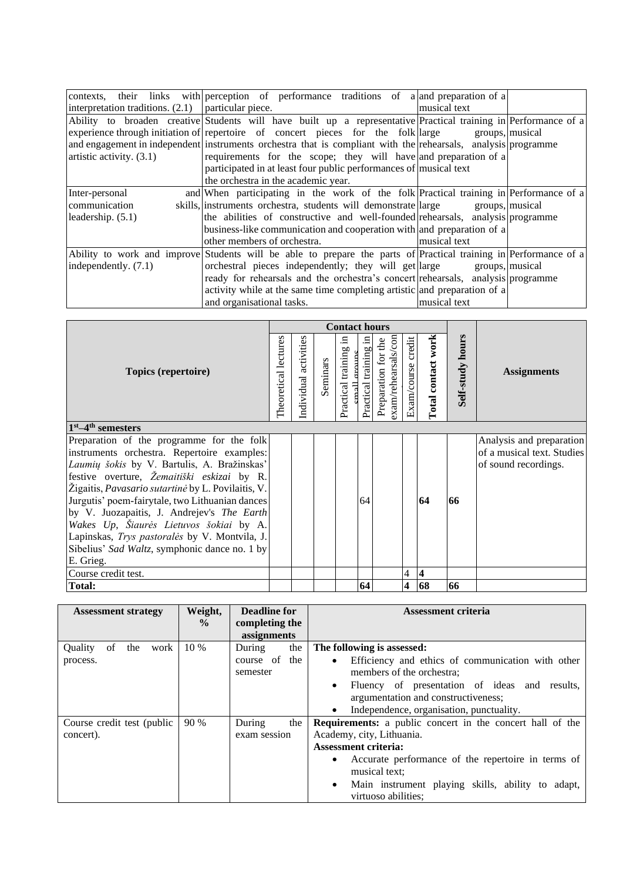|                                                      | contexts, their links with perception of performance traditions of a and preparation of a                        |                 |
|------------------------------------------------------|------------------------------------------------------------------------------------------------------------------|-----------------|
| interpretation traditions. $(2.1)$ particular piece. |                                                                                                                  | musical text    |
|                                                      | Ability to broaden creative Students will have built up a representative Practical training in Performance of a  |                 |
|                                                      | experience through initiation of repertoire of concert pieces for the folk large                                 | groups, musical |
|                                                      | and engagement in independent instruments orchestra that is compliant with the rehearsals, analysis programme    |                 |
| artistic activity. $(3.1)$                           | requirements for the scope; they will have and preparation of a                                                  |                 |
|                                                      | participated in at least four public performances of musical text                                                |                 |
|                                                      | the orchestra in the academic year.                                                                              |                 |
| Inter-personal                                       | and When participating in the work of the folk Practical training in Performance of a                            |                 |
| communication                                        | skills, instruments orchestra, students will demonstrate large groups, musical                                   |                 |
| leadership. (5.1)                                    | the abilities of constructive and well-founded rehearsals, analysis programme                                    |                 |
|                                                      | business-like communication and cooperation with and preparation of a                                            |                 |
|                                                      | other members of orchestra.                                                                                      | musical text    |
|                                                      | Ability to work and improve Students will be able to prepare the parts of Practical training in Performance of a |                 |
| independently. (7.1)                                 | orchestral pieces independently; they will get large groups, musical                                             |                 |
|                                                      | ready for rehearsals and the orchestra's concert rehearsals, analysis programme                                  |                 |
|                                                      | activity while at the same time completing artistic and preparation of a                                         |                 |
|                                                      | and organisational tasks.                                                                                        | musical text    |

|                                                                                               |                      |                       |          | <b>Contact hours</b>                   |                       |                                            |                       |                         |                     |                            |
|-----------------------------------------------------------------------------------------------|----------------------|-----------------------|----------|----------------------------------------|-----------------------|--------------------------------------------|-----------------------|-------------------------|---------------------|----------------------------|
| Topics (repertoire)                                                                           | Theoretical lectures | Individual activities | Seminars | ≘<br>Practical training<br>mall groups | Practical training in | exam/rehearsals/con<br>Preparation for the | credit<br>Exam/course | Total contact work      | hours<br>Self-study | <b>Assignments</b>         |
| $1st - 4th$ semesters                                                                         |                      |                       |          |                                        |                       |                                            |                       |                         |                     |                            |
| Preparation of the programme for the folk                                                     |                      |                       |          |                                        |                       |                                            |                       |                         |                     | Analysis and preparation   |
| instruments orchestra. Repertoire examples:                                                   |                      |                       |          |                                        |                       |                                            |                       |                         |                     | of a musical text. Studies |
| Laumių šokis by V. Bartulis, A. Bražinskas'                                                   |                      |                       |          |                                        |                       |                                            |                       |                         |                     | of sound recordings.       |
| festive overture, Žemaitiški eskizai by R.                                                    |                      |                       |          |                                        |                       |                                            |                       |                         |                     |                            |
| Žigaitis, Pavasario sutartinė by L. Povilaitis, V.                                            |                      |                       |          |                                        |                       |                                            |                       | 64                      |                     |                            |
| Jurgutis' poem-fairytale, two Lithuanian dances<br>by V. Juozapaitis, J. Andrejev's The Earth |                      |                       |          |                                        | 64                    |                                            |                       |                         | 66                  |                            |
| Wakes Up, Šiaurės Lietuvos šokiai by A.                                                       |                      |                       |          |                                        |                       |                                            |                       |                         |                     |                            |
| Lapinskas, Trys pastoralės by V. Montvila, J.                                                 |                      |                       |          |                                        |                       |                                            |                       |                         |                     |                            |
| Sibelius' Sad Waltz, symphonic dance no. 1 by                                                 |                      |                       |          |                                        |                       |                                            |                       |                         |                     |                            |
| E. Grieg.                                                                                     |                      |                       |          |                                        |                       |                                            |                       |                         |                     |                            |
| Course credit test.                                                                           |                      |                       |          |                                        |                       |                                            | $\overline{4}$        | $\overline{\mathbf{4}}$ |                     |                            |
| <b>Total:</b>                                                                                 |                      |                       |          |                                        | 64                    |                                            | 4                     | 68                      | 66                  |                            |

| <b>Assessment strategy</b>   | Weight,<br>$\frac{0}{0}$ | Deadline for<br>completing the<br>assignments | Assessment criteria                                              |
|------------------------------|--------------------------|-----------------------------------------------|------------------------------------------------------------------|
| of<br>Ouality<br>the<br>work | 10 %                     | the<br>During                                 | The following is assessed:                                       |
| process.                     |                          | course of the                                 | Efficiency and ethics of communication with other<br>$\bullet$   |
|                              |                          | semester                                      | members of the orchestra;                                        |
|                              |                          |                                               | Fluency of presentation of ideas and results,                    |
|                              |                          |                                               | argumentation and constructiveness;                              |
|                              |                          |                                               | Independence, organisation, punctuality.                         |
| Course credit test (public   | 90 %                     | the<br>During                                 | <b>Requirements:</b> a public concert in the concert hall of the |
| concert).                    |                          | exam session                                  | Academy, city, Lithuania.                                        |
|                              |                          |                                               | <b>Assessment criteria:</b>                                      |
|                              |                          |                                               | Accurate performance of the repertoire in terms of               |
|                              |                          |                                               | musical text:                                                    |
|                              |                          |                                               | Main instrument playing skills, ability to adapt,<br>$\bullet$   |
|                              |                          |                                               | virtuoso abilities;                                              |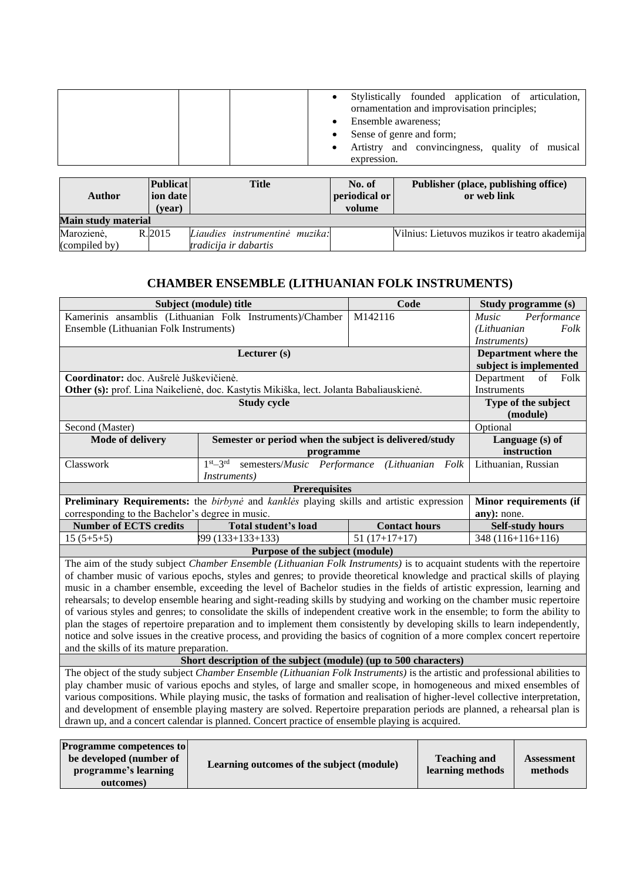| Stylistically founded application of articulation,<br>ornamentation and improvisation principles; |
|---------------------------------------------------------------------------------------------------|
| Ensemble awareness:                                                                               |
| Sense of genre and form;                                                                          |
| Artistry and convincingness, quality of musical<br>expression.                                    |

|        | volume                | periodical or                                 |
|--------|-----------------------|-----------------------------------------------|
|        |                       |                                               |
|        |                       | Vilnius: Lietuvos muzikos ir teatro akademija |
| (vear) | tradicija ir dabartis | Liaudies instrumentinė muzika:                |

### **CHAMBER ENSEMBLE (LITHUANIAN FOLK INSTRUMENTS)**

<span id="page-7-0"></span>

|                                                                                                                              | Subject (module) title                                                                                                       | Code                 | Study programme (s)         |  |
|------------------------------------------------------------------------------------------------------------------------------|------------------------------------------------------------------------------------------------------------------------------|----------------------|-----------------------------|--|
|                                                                                                                              | Kamerinis ansamblis (Lithuanian Folk Instruments)/Chamber                                                                    | M142116              | Performance<br><i>Music</i> |  |
| Ensemble (Lithuanian Folk Instruments)                                                                                       |                                                                                                                              |                      | (Lithuanian<br>Folk         |  |
|                                                                                                                              |                                                                                                                              |                      | <i>Instruments</i> )        |  |
|                                                                                                                              | Lecturer (s)                                                                                                                 |                      | Department where the        |  |
|                                                                                                                              |                                                                                                                              |                      | subject is implemented      |  |
| Coordinator: doc. Aušrelė Juškevičienė.                                                                                      |                                                                                                                              |                      | of<br>Folk<br>Department    |  |
|                                                                                                                              | Other (s): prof. Lina Naikelienė, doc. Kastytis Mikiška, lect. Jolanta Babaliauskienė.                                       |                      |                             |  |
|                                                                                                                              | <b>Study cycle</b>                                                                                                           |                      | Type of the subject         |  |
|                                                                                                                              |                                                                                                                              |                      | (module)                    |  |
| Second (Master)                                                                                                              |                                                                                                                              |                      | Optional                    |  |
| <b>Mode of delivery</b>                                                                                                      | Semester or period when the subject is delivered/study                                                                       |                      | Language (s) of             |  |
|                                                                                                                              | programme                                                                                                                    |                      | instruction                 |  |
| Classwork                                                                                                                    | semesters/Music Performance<br>$1st - 3rd$                                                                                   | (Lithuanian Folk     | Lithuanian, Russian         |  |
|                                                                                                                              | <i>Instruments</i> )                                                                                                         |                      |                             |  |
|                                                                                                                              | <b>Prerequisites</b>                                                                                                         |                      |                             |  |
|                                                                                                                              | <b>Preliminary Requirements:</b> the <i>birbyne</i> and <i>kankles</i> playing skills and artistic expression                |                      | Minor requirements (if      |  |
| corresponding to the Bachelor's degree in music.                                                                             |                                                                                                                              |                      | any): none.                 |  |
| <b>Number of ECTS credits</b>                                                                                                | <b>Total student's load</b>                                                                                                  | <b>Contact hours</b> | <b>Self-study hours</b>     |  |
| $15(5+5+5)$                                                                                                                  | $(133+133+133)$                                                                                                              | $51(17+17+17)$       | $348(116+116+116)$          |  |
|                                                                                                                              | Purpose of the subject (module)                                                                                              |                      |                             |  |
|                                                                                                                              | The aim of the study subject Chamber Ensemble (Lithuanian Folk Instruments) is to acquaint students with the repertoire      |                      |                             |  |
|                                                                                                                              | of chamber music of various epochs, styles and genres; to provide theoretical knowledge and practical skills of playing      |                      |                             |  |
|                                                                                                                              | music in a chamber ensemble, exceeding the level of Bachelor studies in the fields of artistic expression, learning and      |                      |                             |  |
|                                                                                                                              | rehearsals; to develop ensemble hearing and sight-reading skills by studying and working on the chamber music repertoire     |                      |                             |  |
|                                                                                                                              | of various styles and genres; to consolidate the skills of independent creative work in the ensemble; to form the ability to |                      |                             |  |
|                                                                                                                              | plan the stages of repertoire preparation and to implement them consistently by developing skills to learn independently,    |                      |                             |  |
|                                                                                                                              | notice and solve issues in the creative process, and providing the basics of cognition of a more complex concert repertoire  |                      |                             |  |
| and the skills of its mature preparation.                                                                                    |                                                                                                                              |                      |                             |  |
|                                                                                                                              | Short description of the subject (module) (up to 500 characters)                                                             |                      |                             |  |
|                                                                                                                              | The object of the study subject Chamber Ensemble (Lithuanian Folk Instruments) is the artistic and professional abilities to |                      |                             |  |
|                                                                                                                              | play chamber music of various epochs and styles, of large and smaller scope, in homogeneous and mixed ensembles of           |                      |                             |  |
| various compositions. While playing music, the tasks of formation and realisation of higher-level collective interpretation, |                                                                                                                              |                      |                             |  |

| <b>Programme competences to</b><br>be developed (number of<br>programme's learning<br>outcomes) | Learning outcomes of the subject (module) | <b>Teaching and</b><br>learning methods | Assessment<br>methods |
|-------------------------------------------------------------------------------------------------|-------------------------------------------|-----------------------------------------|-----------------------|
|-------------------------------------------------------------------------------------------------|-------------------------------------------|-----------------------------------------|-----------------------|

and development of ensemble playing mastery are solved. Repertoire preparation periods are planned, a rehearsal plan is

drawn up, and a concert calendar is planned. Concert practice of ensemble playing is acquired.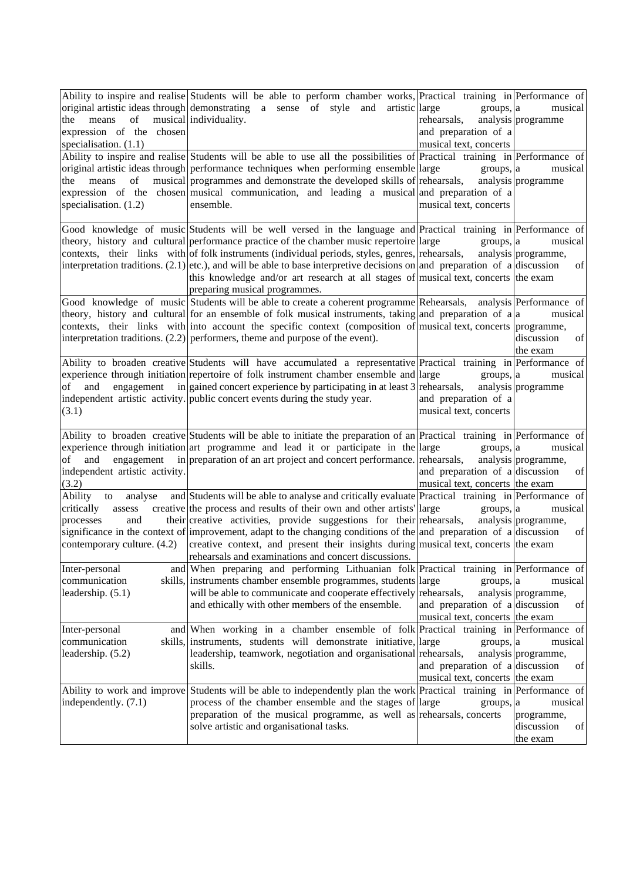| of<br>the<br>means<br>expression of the chosen<br>specialisation. $(1.1)$<br>the<br>means<br>of<br>specialisation. $(1.2)$ | Ability to inspire and realise Students will be able to perform chamber works, Practical training in Performance of<br>original artistic ideas through demonstrating a sense of style and artistic large<br>musical individuality.<br>Ability to inspire and realise Students will be able to use all the possibilities of Practical training in Performance of<br>original artistic ideas through performance techniques when performing ensemble large<br>musical programmes and demonstrate the developed skills of rehearsals,<br>expression of the chosen musical communication, and leading a musical and preparation of a<br>ensemble. | groups, a<br>rehearsals,<br>and preparation of a<br>musical text, concerts<br>groups, a<br>musical text, concerts | musical<br>analysis programme<br>musical<br>analysis programme |
|----------------------------------------------------------------------------------------------------------------------------|-----------------------------------------------------------------------------------------------------------------------------------------------------------------------------------------------------------------------------------------------------------------------------------------------------------------------------------------------------------------------------------------------------------------------------------------------------------------------------------------------------------------------------------------------------------------------------------------------------------------------------------------------|-------------------------------------------------------------------------------------------------------------------|----------------------------------------------------------------|
|                                                                                                                            | Good knowledge of music Students will be well versed in the language and Practical training in Performance of<br>theory, history and cultural performance practice of the chamber music repertoire large<br>contexts, their links with of folk instruments (individual periods, styles, genres, rehearsals,<br>interpretation traditions. (2.1) etc.), and will be able to base interpretive decisions on and preparation of a discussion<br>this knowledge and/or art research at all stages of musical text, concerts the exam<br>preparing musical programmes.                                                                             | groups, a                                                                                                         | musical<br>analysis programme,<br>of                           |
|                                                                                                                            | Good knowledge of music Students will be able to create a coherent programme Rehearsals, analysis Performance of<br>theory, history and cultural for an ensemble of folk musical instruments, taking and preparation of a a<br>contexts, their links with into account the specific context (composition of musical text, concerts programme,<br>interpretation traditions. $(2.2)$ performers, theme and purpose of the event).                                                                                                                                                                                                              |                                                                                                                   | musical<br>of<br>discussion<br>the exam                        |
| of<br>and<br>engagement<br>(3.1)                                                                                           | Ability to broaden creative Students will have accumulated a representative Practical training in Performance of<br>experience through initiation repertoire of folk instrument chamber ensemble and large<br>in gained concert experience by participating in at least 3 rehearsals,<br>independent artistic activity. public concert events during the study year.                                                                                                                                                                                                                                                                          | groups, a<br>and preparation of a<br>musical text, concerts                                                       | musical<br>analysis programme                                  |
| and<br>engagement<br>of<br>independent artistic activity.<br>(3.2)                                                         | Ability to broaden creative Students will be able to initiate the preparation of an Practical training in Performance of<br>experience through initiation art programme and lead it or participate in the large<br>in preparation of an art project and concert performance. rehearsals,                                                                                                                                                                                                                                                                                                                                                      | groups, a<br>and preparation of a discussion<br>musical text, concerts the exam                                   | musical<br>analysis programme,<br>of                           |
| Ability<br>analyse<br>to<br>critically<br>assess<br>processes<br>and<br>contemporary culture. (4.2)                        | and Students will be able to analyse and critically evaluate Practical training in Performance of<br>creative the process and results of their own and other artists large<br>their creative activities, provide suggestions for their rehearsals,<br>significance in the context of improvement, adapt to the changing conditions of the and preparation of a discussion<br>creative context, and present their insights during musical text, concerts the exam<br>rehearsals and examinations and concert discussions.                                                                                                                      | groups, a                                                                                                         | musical<br>analysis programme,<br>of                           |
| Inter-personal<br>communication<br>leadership. $(5.1)$                                                                     | and When preparing and performing Lithuanian folk Practical training in Performance of<br>skills, instruments chamber ensemble programmes, students large<br>will be able to communicate and cooperate effectively rehearsals,<br>and ethically with other members of the ensemble.                                                                                                                                                                                                                                                                                                                                                           | groups, a<br>and preparation of a discussion<br>musical text, concerts the exam                                   | musical<br>analysis programme,<br>of                           |
| Inter-personal<br>communication<br>leadership. (5.2)                                                                       | and When working in a chamber ensemble of folk Practical training in Performance of<br>skills, instruments, students will demonstrate initiative, large<br>leadership, teamwork, negotiation and organisational rehearsals,<br>skills.                                                                                                                                                                                                                                                                                                                                                                                                        | groups, a<br>and preparation of a discussion<br>musical text, concerts the exam                                   | musical<br>analysis programme,<br>of                           |
| Ability to work and improve<br>independently. (7.1)                                                                        | Students will be able to independently plan the work Practical training in Performance of<br>process of the chamber ensemble and the stages of large<br>preparation of the musical programme, as well as rehearsals, concerts<br>solve artistic and organisational tasks.                                                                                                                                                                                                                                                                                                                                                                     | groups, a                                                                                                         | musical<br>programme,<br>discussion<br>of<br>the exam          |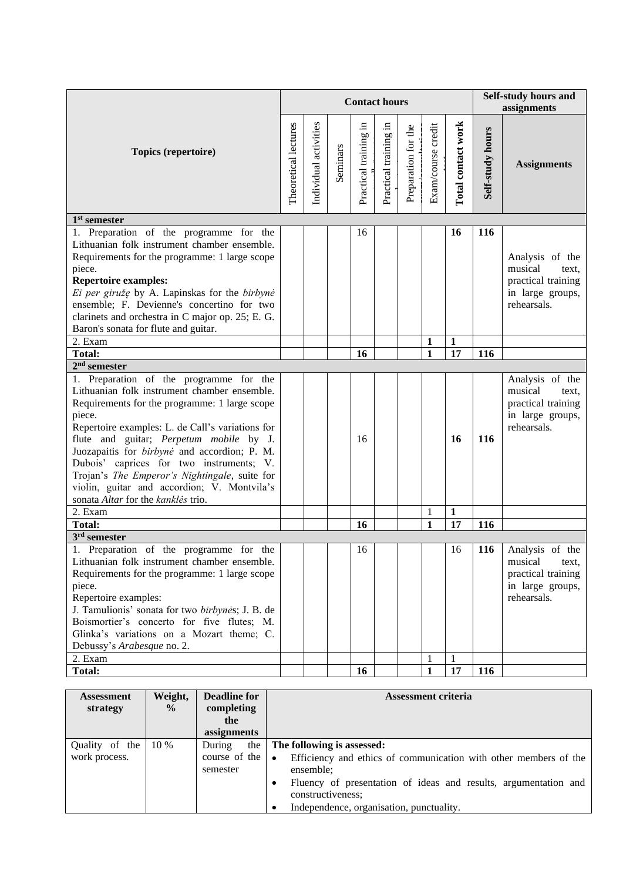|                                                                                                                                                                                                                                                                                                                                                                                                                                                                                     |                      |                       |          |                       | <b>Contact hours</b>  |                     |                    |                    |                  | Self-study hours and<br>assignments                                                          |
|-------------------------------------------------------------------------------------------------------------------------------------------------------------------------------------------------------------------------------------------------------------------------------------------------------------------------------------------------------------------------------------------------------------------------------------------------------------------------------------|----------------------|-----------------------|----------|-----------------------|-----------------------|---------------------|--------------------|--------------------|------------------|----------------------------------------------------------------------------------------------|
| Topics (repertoire)                                                                                                                                                                                                                                                                                                                                                                                                                                                                 | Theoretical lectures | Individual activities | Seminars | Practical training in | Practical training in | Preparation for the | Exam/course credit | Total contact work | Self-study hours | <b>Assignments</b>                                                                           |
| $1st$ semester                                                                                                                                                                                                                                                                                                                                                                                                                                                                      |                      |                       |          |                       |                       |                     |                    |                    |                  |                                                                                              |
| 1. Preparation of the programme for the<br>Lithuanian folk instrument chamber ensemble.<br>Requirements for the programme: 1 large scope<br>piece.<br><b>Repertoire examples:</b><br>Ei per giružę by A. Lapinskas for the birbynė<br>ensemble; F. Devienne's concertino for two<br>clarinets and orchestra in C major op. 25; E. G.<br>Baron's sonata for flute and guitar.                                                                                                        |                      |                       |          | 16                    |                       |                     |                    | 16                 | 116              | Analysis of the<br>musical<br>text,<br>practical training<br>in large groups,<br>rehearsals. |
| 2. Exam                                                                                                                                                                                                                                                                                                                                                                                                                                                                             |                      |                       |          |                       |                       |                     | $\mathbf{1}$       | $\mathbf{1}$       |                  |                                                                                              |
| <b>Total:</b>                                                                                                                                                                                                                                                                                                                                                                                                                                                                       |                      |                       |          | 16                    |                       |                     | $\mathbf{1}$       | 17                 | 116              |                                                                                              |
| $2nd$ semester                                                                                                                                                                                                                                                                                                                                                                                                                                                                      |                      |                       |          |                       |                       |                     |                    |                    |                  |                                                                                              |
| 1. Preparation of the programme for the<br>Lithuanian folk instrument chamber ensemble.<br>Requirements for the programme: 1 large scope<br>piece.<br>Repertoire examples: L. de Call's variations for<br>flute and guitar; Perpetum mobile by J.<br>Juozapaitis for birbynė and accordion; P. M.<br>Dubois' caprices for two instruments; V.<br>Trojan's The Emperor's Nightingale, suite for<br>violin, guitar and accordion; V. Montvila's<br>sonata Altar for the kanklės trio. |                      |                       |          | 16                    |                       |                     |                    | 16                 | 116              | Analysis of the<br>musical<br>text,<br>practical training<br>in large groups,<br>rehearsals. |
| 2. Exam                                                                                                                                                                                                                                                                                                                                                                                                                                                                             |                      |                       |          |                       |                       |                     | $\mathbf{1}$       | $\mathbf{1}$       |                  |                                                                                              |
| <b>Total:</b>                                                                                                                                                                                                                                                                                                                                                                                                                                                                       |                      |                       |          | 16                    |                       |                     | $\mathbf{1}$       | 17                 | 116              |                                                                                              |
| $3rd$ semester<br>1. Preparation of the programme for the<br>Lithuanian folk instrument chamber ensemble.<br>Requirements for the programme: 1 large scope<br>piece.<br>Repertoire examples:<br>J. Tamulionis' sonata for two birbynės; J. B. de<br>Boismortier's concerto for five flutes; M.<br>Glinka's variations on a Mozart theme; C.<br>Debussy's Arabesque no. 2.                                                                                                           |                      |                       |          | 16                    |                       |                     |                    | 16                 | 116              | Analysis of the<br>musical<br>text,<br>practical training<br>in large groups,<br>rehearsals. |
| 2. Exam                                                                                                                                                                                                                                                                                                                                                                                                                                                                             |                      |                       |          |                       |                       |                     | 1                  | 1                  |                  |                                                                                              |
| <b>Total:</b>                                                                                                                                                                                                                                                                                                                                                                                                                                                                       |                      |                       |          | 16                    |                       |                     | $\mathbf{1}$       | 17                 | 116              |                                                                                              |

| <b>Assessment</b><br>strategy   | Weight,<br>$\frac{0}{0}$ | <b>Deadline for</b><br>completing<br>the                         | <b>Assessment criteria</b>                                                                                                                                                                                                                      |
|---------------------------------|--------------------------|------------------------------------------------------------------|-------------------------------------------------------------------------------------------------------------------------------------------------------------------------------------------------------------------------------------------------|
|                                 |                          | assignments                                                      |                                                                                                                                                                                                                                                 |
| Quality of the<br>work process. | 10 %                     | the<br>During<br>course of the $\vert \bullet \vert$<br>semester | The following is assessed:<br>Efficiency and ethics of communication with other members of the<br>ensemble;<br>Fluency of presentation of ideas and results, argumentation and<br>constructiveness;<br>Independence, organisation, punctuality. |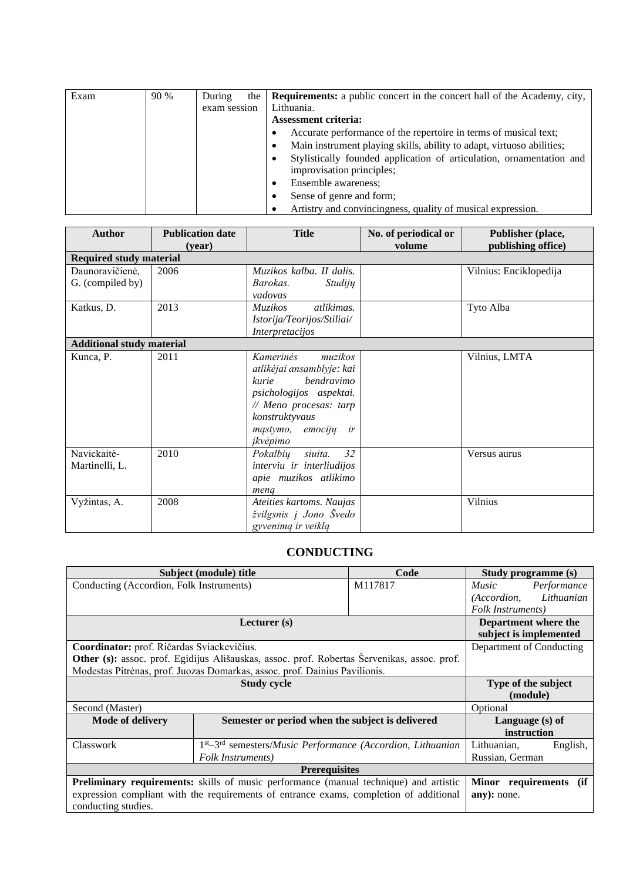| Exam | 90 % | During       | the | <b>Requirements:</b> a public concert in the concert hall of the Academy, city, |
|------|------|--------------|-----|---------------------------------------------------------------------------------|
|      |      | exam session |     | Lithuania.                                                                      |
|      |      |              |     | <b>Assessment criteria:</b>                                                     |
|      |      |              |     | Accurate performance of the repertoire in terms of musical text;                |
|      |      |              |     | Main instrument playing skills, ability to adapt, virtuoso abilities;<br>٠      |
|      |      |              |     | Stylistically founded application of articulation, ornamentation and            |
|      |      |              |     | improvisation principles;                                                       |
|      |      |              |     | Ensemble awareness;                                                             |
|      |      |              |     | Sense of genre and form;                                                        |
|      |      |              |     | Artistry and convincingness, quality of musical expression.                     |

| <b>Author</b>                       | <b>Publication date</b><br>(year) | <b>Title</b>                                                                                                                                                                                           | No. of periodical or<br>volume | Publisher (place,<br>publishing office) |
|-------------------------------------|-----------------------------------|--------------------------------------------------------------------------------------------------------------------------------------------------------------------------------------------------------|--------------------------------|-----------------------------------------|
| <b>Required study material</b>      |                                   |                                                                                                                                                                                                        |                                |                                         |
| Daunoravičienė,<br>G. (compiled by) | 2006                              | Muzikos kalba. II dalis.<br>Barokas.<br>Studijų<br>vadovas                                                                                                                                             |                                | Vilnius: Enciklopedija                  |
| Katkus, D.                          | 2013                              | atlikimas.<br>Muzikos<br>Istorija/Teorijos/Stiliai/<br>Interpretacijos                                                                                                                                 |                                | Tyto Alba                               |
| <b>Additional study material</b>    |                                   |                                                                                                                                                                                                        |                                |                                         |
| Kunca, P.                           | 2011                              | <i>Kamerinės</i><br>muzikos<br>atlikėjai ansamblyje: kai<br><i>bendravimo</i><br>kurie<br>psichologijos aspektai.<br>// Meno procesas: tarp<br>konstruktyvaus<br>mastymo,<br>emociju<br>ir<br>įkvėpimo |                                | Vilnius, LMTA                           |
| Navickaitė-<br>Martinelli, L.       | 2010                              | 32<br>Pokalbių<br>siuita.<br>interviu ir interliudijos<br>apie muzikos atlikimo<br>mena                                                                                                                |                                | Versus aurus                            |
| Vyžintas, A.                        | 2008                              | Ateities kartoms. Naujas<br>žvilgsnis į Jono Švedo<br>gyvenimą ir veiklą                                                                                                                               |                                | Vilnius                                 |

### **CONDUCTING**

<span id="page-10-0"></span>

|                                                                            | Subject (module) title                                                                       | Code    | Study programme (s)         |                        |  |
|----------------------------------------------------------------------------|----------------------------------------------------------------------------------------------|---------|-----------------------------|------------------------|--|
| Conducting (Accordion, Folk Instruments)                                   |                                                                                              | M117817 | <i>Music</i><br>Performance |                        |  |
|                                                                            |                                                                                              |         | (Accordion, Lithuanian      |                        |  |
|                                                                            |                                                                                              |         | Folk Instruments)           |                        |  |
|                                                                            | Lecturer (s)                                                                                 |         |                             |                        |  |
|                                                                            |                                                                                              |         |                             | subject is implemented |  |
| Coordinator: prof. Ričardas Sviackevičius.                                 | Department of Conducting                                                                     |         |                             |                        |  |
|                                                                            | Other (s): assoc. prof. Egidijus Ališauskas, assoc. prof. Robertas Šervenikas, assoc. prof.  |         |                             |                        |  |
| Modestas Pitrėnas, prof. Juozas Domarkas, assoc. prof. Dainius Pavilionis. |                                                                                              |         |                             |                        |  |
|                                                                            | Type of the subject                                                                          |         |                             |                        |  |
|                                                                            | (module)                                                                                     |         |                             |                        |  |
| Second (Master)                                                            |                                                                                              |         | Optional                    |                        |  |
| <b>Mode of delivery</b>                                                    | Semester or period when the subject is delivered                                             |         | Language (s) of             |                        |  |
|                                                                            |                                                                                              |         | instruction                 |                        |  |
| Classwork                                                                  | $1st - 3rd$ semesters/ <i>Music Performance</i> ( <i>Accordion, Lithuanian</i>               |         | Lithuanian,                 | English,               |  |
| Folk Instruments)                                                          |                                                                                              |         | Russian, German             |                        |  |
|                                                                            |                                                                                              |         |                             |                        |  |
|                                                                            | <b>Preliminary requirements:</b> skills of music performance (manual technique) and artistic |         | Minor requirements          | (if                    |  |
|                                                                            | expression compliant with the requirements of entrance exams, completion of additional       |         | any): none.                 |                        |  |
| conducting studies.                                                        |                                                                                              |         |                             |                        |  |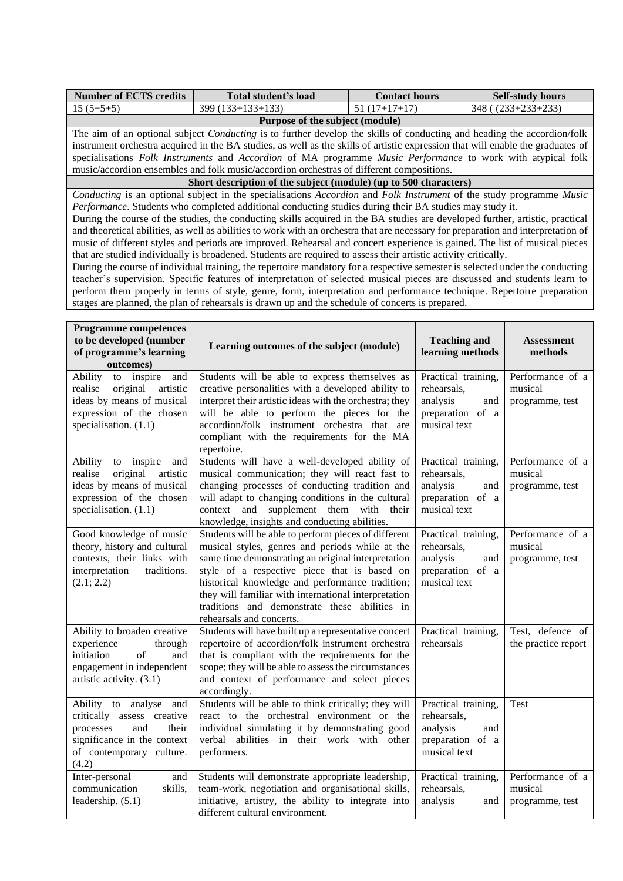| <b>Number of ECTS credits</b> | <b>Total student's load</b> | <b>Contact hours</b>     | <b>Self-study hours</b> |
|-------------------------------|-----------------------------|--------------------------|-------------------------|
| $15(5+5+5)$                   | $399(133+133+133)$          | $51(17+17+17)$           | $348( (233+233+233)$    |
|                               |                             | $\overline{\phantom{a}}$ |                         |

**Purpose of the subject (module)** The aim of an optional subject *Conducting* is to further develop the skills of conducting and heading the accordion/folk instrument orchestra acquired in the BA studies, as well as the skills of artistic expression that will enable the graduates of specialisations *Folk Instruments* and *Accordion* of MA programme *Music Performance* to work with atypical folk music/accordion ensembles and folk music/accordion orchestras of different compositions.

**Short description of the subject (module) (up to 500 characters)**

*Conducting* is an optional subject in the specialisations *Accordion* and *Folk Instrument* of the study programme *Music Performance*. Students who completed additional conducting studies during their BA studies may study it.

During the course of the studies, the conducting skills acquired in the BA studies are developed further, artistic, practical and theoretical abilities, as well as abilities to work with an orchestra that are necessary for preparation and interpretation of music of different styles and periods are improved. Rehearsal and concert experience is gained. The list of musical pieces that are studied individually is broadened. Students are required to assess their artistic activity critically.

During the course of individual training, the repertoire mandatory for a respective semester is selected under the conducting teacher's supervision. Specific features of interpretation of selected musical pieces are discussed and students learn to perform them properly in terms of style, genre, form, interpretation and performance technique. Repertoire preparation stages are planned, the plan of rehearsals is drawn up and the schedule of concerts is prepared.

| <b>Programme competences</b><br>to be developed (number<br>of programme's learning<br>outcomes)                                                       | Learning outcomes of the subject (module)                                                                                                                                                                                                                                                                                                                                                             | <b>Teaching and</b><br>learning methods                                                   | <b>Assessment</b><br>methods                   |
|-------------------------------------------------------------------------------------------------------------------------------------------------------|-------------------------------------------------------------------------------------------------------------------------------------------------------------------------------------------------------------------------------------------------------------------------------------------------------------------------------------------------------------------------------------------------------|-------------------------------------------------------------------------------------------|------------------------------------------------|
| Ability<br>to inspire<br>and<br>original<br>artistic<br>realise<br>ideas by means of musical<br>expression of the chosen<br>specialisation. $(1.1)$   | Students will be able to express themselves as<br>creative personalities with a developed ability to<br>interpret their artistic ideas with the orchestra; they<br>will be able to perform the pieces for the<br>accordion/folk instrument orchestra that<br>are<br>compliant with the requirements for the MA<br>repertoire.                                                                         | Practical training,<br>rehearsals,<br>analysis<br>and<br>preparation of a<br>musical text | Performance of a<br>musical<br>programme, test |
| Ability<br>to inspire<br>and<br>realise<br>original<br>artistic<br>ideas by means of musical<br>expression of the chosen<br>specialisation. $(1.1)$   | Students will have a well-developed ability of<br>musical communication; they will react fast to<br>changing processes of conducting tradition and<br>will adapt to changing conditions in the cultural<br>context and supplement them with their<br>knowledge, insights and conducting abilities.                                                                                                    | Practical training,<br>rehearsals,<br>analysis<br>and<br>preparation of a<br>musical text | Performance of a<br>musical<br>programme, test |
| Good knowledge of music<br>theory, history and cultural<br>contexts, their links with<br>interpretation<br>traditions.<br>(2.1; 2.2)                  | Students will be able to perform pieces of different<br>musical styles, genres and periods while at the<br>same time demonstrating an original interpretation<br>style of a respective piece that is based on<br>historical knowledge and performance tradition;<br>they will familiar with international interpretation<br>traditions and demonstrate these abilities in<br>rehearsals and concerts. | Practical training,<br>rehearsals,<br>analysis<br>and<br>preparation of a<br>musical text | Performance of a<br>musical<br>programme, test |
| Ability to broaden creative<br>experience<br>through<br>of<br>initiation<br>and<br>engagement in independent<br>artistic activity. (3.1)              | Students will have built up a representative concert<br>repertoire of accordion/folk instrument orchestra<br>that is compliant with the requirements for the<br>scope; they will be able to assess the circumstances<br>and context of performance and select pieces<br>accordingly.                                                                                                                  | Practical training,<br>rehearsals                                                         | Test, defence of<br>the practice report        |
| Ability to analyse and<br>critically assess creative<br>processes<br>and<br>their<br>significance in the context<br>of contemporary culture.<br>(4.2) | Students will be able to think critically; they will<br>react to the orchestral environment or the<br>individual simulating it by demonstrating good<br>verbal abilities in their work with other<br>performers.                                                                                                                                                                                      | Practical training,<br>rehearsals,<br>analysis<br>and<br>preparation of a<br>musical text | Test                                           |
| Inter-personal<br>and<br>communication<br>skills,<br>leadership. (5.1)                                                                                | Students will demonstrate appropriate leadership,<br>team-work, negotiation and organisational skills,<br>initiative, artistry, the ability to integrate into<br>different cultural environment.                                                                                                                                                                                                      | Practical training,<br>rehearsals,<br>analysis<br>and                                     | Performance of a<br>musical<br>programme, test |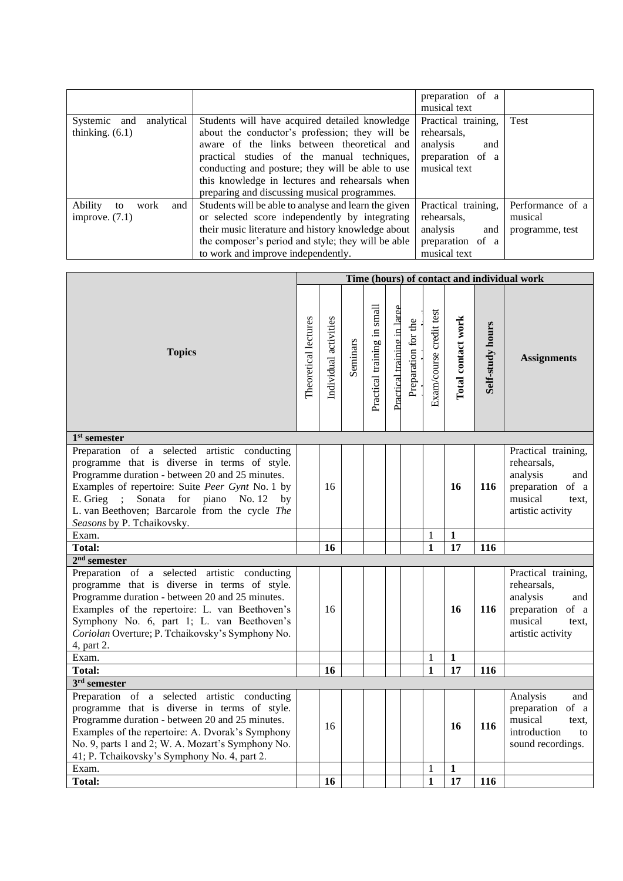|                                                  |                                                                                                                                                                                                                                                                                                                                                     | preparation of a<br>musical text                                                          |                                                |
|--------------------------------------------------|-----------------------------------------------------------------------------------------------------------------------------------------------------------------------------------------------------------------------------------------------------------------------------------------------------------------------------------------------------|-------------------------------------------------------------------------------------------|------------------------------------------------|
| analytical<br>Systemic and<br>thinking. $(6.1)$  | Students will have acquired detailed knowledge<br>about the conductor's profession; they will be<br>aware of the links between theoretical and<br>practical studies of the manual techniques,<br>conducting and posture; they will be able to use<br>this knowledge in lectures and rehearsals when<br>preparing and discussing musical programmes. | Practical training,<br>rehearsals,<br>analysis<br>and<br>preparation of a<br>musical text | Test                                           |
| Ability<br>work<br>and<br>to<br>improve. $(7.1)$ | Students will be able to analyse and learn the given<br>or selected score independently by integrating<br>their music literature and history knowledge about<br>the composer's period and style; they will be able<br>to work and improve independently.                                                                                            | Practical training,<br>rehearsals,<br>analysis<br>and<br>preparation of a<br>musical text | Performance of a<br>musical<br>programme, test |

|                                                                                                                                                                                                                                                                                                                                         | Time (hours) of contact and individual work |    |          |                             |                             |                     |                         |                    |                  |                                                                                                                    |  |
|-----------------------------------------------------------------------------------------------------------------------------------------------------------------------------------------------------------------------------------------------------------------------------------------------------------------------------------------|---------------------------------------------|----|----------|-----------------------------|-----------------------------|---------------------|-------------------------|--------------------|------------------|--------------------------------------------------------------------------------------------------------------------|--|
| <b>Topics</b>                                                                                                                                                                                                                                                                                                                           |                                             |    | Seminars | Practical training in small | Practical training in large | Preparation for the | Exam/course credit test | Total contact work | Self-study hours | <b>Assignments</b>                                                                                                 |  |
| $1st$ semester                                                                                                                                                                                                                                                                                                                          |                                             |    |          |                             |                             |                     |                         |                    |                  |                                                                                                                    |  |
| Preparation of a selected artistic conducting<br>programme that is diverse in terms of style.<br>Programme duration - between 20 and 25 minutes.<br>Examples of repertoire: Suite Peer Gynt No. 1 by<br>E. Grieg<br>Sonata<br>for piano<br>No. 12<br>by<br>L. van Beethoven; Barcarole from the cycle The<br>Seasons by P. Tchaikovsky. |                                             | 16 |          |                             |                             |                     |                         | 16                 | 116              | Practical training,<br>rehearsals,<br>analysis<br>and<br>preparation of a<br>musical<br>text.<br>artistic activity |  |
| Exam.                                                                                                                                                                                                                                                                                                                                   |                                             |    |          |                             |                             |                     | $\mathbf{1}$            | 1                  |                  |                                                                                                                    |  |
| <b>Total:</b>                                                                                                                                                                                                                                                                                                                           |                                             | 16 |          |                             |                             |                     | $\mathbf{1}$            | 17                 | 116              |                                                                                                                    |  |
| $2nd$ semester                                                                                                                                                                                                                                                                                                                          |                                             |    |          |                             |                             |                     |                         |                    |                  |                                                                                                                    |  |
| Preparation of a selected artistic conducting<br>programme that is diverse in terms of style.<br>Programme duration - between 20 and 25 minutes.<br>Examples of the repertoire: L. van Beethoven's<br>Symphony No. 6, part 1; L. van Beethoven's<br>Coriolan Overture; P. Tchaikovsky's Symphony No.<br>4, part 2.                      |                                             | 16 |          |                             |                             |                     |                         | 16                 | 116              | Practical training,<br>rehearsals,<br>analysis<br>and<br>preparation of a<br>musical<br>text.<br>artistic activity |  |
| Exam.                                                                                                                                                                                                                                                                                                                                   |                                             |    |          |                             |                             |                     | 1                       | 1                  |                  |                                                                                                                    |  |
| <b>Total:</b>                                                                                                                                                                                                                                                                                                                           |                                             | 16 |          |                             |                             |                     | $\mathbf{1}$            | $\overline{17}$    | 116              |                                                                                                                    |  |
| $3rd$ semester                                                                                                                                                                                                                                                                                                                          |                                             |    |          |                             |                             |                     |                         |                    |                  |                                                                                                                    |  |
| Preparation of a selected<br>artistic conducting<br>programme that is diverse in terms of style.<br>Programme duration - between 20 and 25 minutes.<br>Examples of the repertoire: A. Dvorak's Symphony<br>No. 9, parts 1 and 2; W. A. Mozart's Symphony No.<br>41; P. Tchaikovsky's Symphony No. 4, part 2.                            |                                             | 16 |          |                             |                             |                     |                         | 16                 | 116              | Analysis<br>and<br>preparation of a<br>musical<br>text.<br>introduction<br>to<br>sound recordings.                 |  |
| Exam.                                                                                                                                                                                                                                                                                                                                   |                                             |    |          |                             |                             |                     | 1                       | $\mathbf{1}$       |                  |                                                                                                                    |  |
| <b>Total:</b>                                                                                                                                                                                                                                                                                                                           |                                             | 16 |          |                             |                             |                     | $\mathbf{1}$            | 17                 | 116              |                                                                                                                    |  |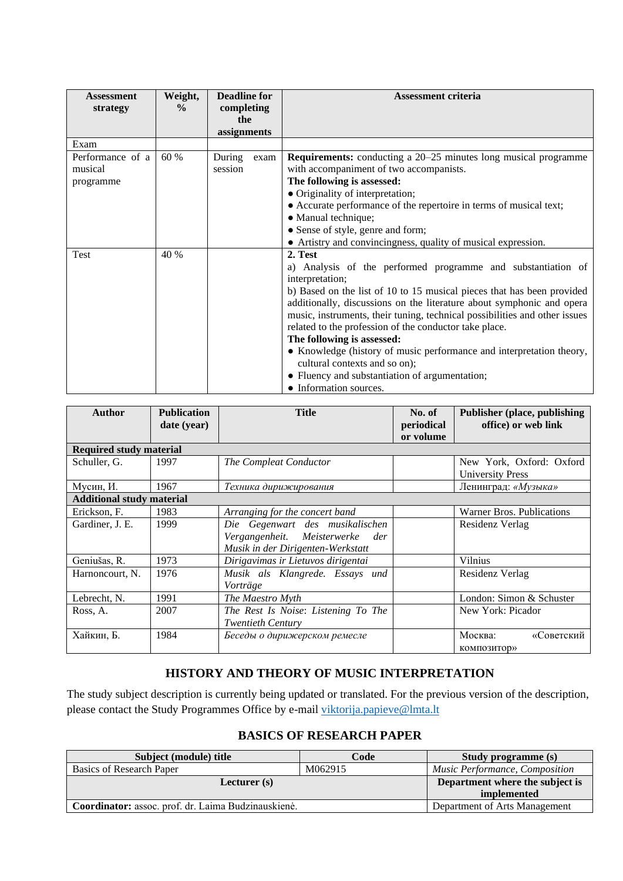| <b>Assessment</b><br>strategy            | Weight,<br>$\frac{0}{0}$ | <b>Deadline for</b><br>completing<br>the<br>assignments |      | <b>Assessment criteria</b>                                                                                                                                                                                                                                                                                                                                                                                                                                                                                                                                                                               |
|------------------------------------------|--------------------------|---------------------------------------------------------|------|----------------------------------------------------------------------------------------------------------------------------------------------------------------------------------------------------------------------------------------------------------------------------------------------------------------------------------------------------------------------------------------------------------------------------------------------------------------------------------------------------------------------------------------------------------------------------------------------------------|
| Exam                                     |                          |                                                         |      |                                                                                                                                                                                                                                                                                                                                                                                                                                                                                                                                                                                                          |
| Performance of a<br>musical<br>programme | 60 %                     | During<br>session                                       | exam | <b>Requirements:</b> conducting a 20–25 minutes long musical programme<br>with accompaniment of two accompanists.<br>The following is assessed:<br>• Originality of interpretation;<br>• Accurate performance of the repertoire in terms of musical text;<br>• Manual technique;<br>• Sense of style, genre and form;<br>• Artistry and convincingness, quality of musical expression.                                                                                                                                                                                                                   |
| Test                                     | 40 %                     |                                                         |      | 2. Test<br>a) Analysis of the performed programme and substantiation of<br>interpretation;<br>b) Based on the list of 10 to 15 musical pieces that has been provided<br>additionally, discussions on the literature about symphonic and opera<br>music, instruments, their tuning, technical possibilities and other issues<br>related to the profession of the conductor take place.<br>The following is assessed:<br>• Knowledge (history of music performance and interpretation theory,<br>cultural contexts and so on);<br>• Fluency and substantiation of argumentation;<br>• Information sources. |

| <b>Author</b>                    | <b>Publication</b><br>date (year) | <b>Title</b>                                                                                               | No. of<br>periodical<br>or volume | <b>Publisher (place, publishing)</b><br>office) or web link |
|----------------------------------|-----------------------------------|------------------------------------------------------------------------------------------------------------|-----------------------------------|-------------------------------------------------------------|
| <b>Required study material</b>   |                                   |                                                                                                            |                                   |                                                             |
| Schuller, G.                     | 1997                              | The Compleat Conductor                                                                                     |                                   | New York, Oxford: Oxford<br><b>University Press</b>         |
| Мусин, И.                        | 1967                              | Техника дирижирования                                                                                      |                                   | Ленинград: «Музыка»                                         |
| <b>Additional study material</b> |                                   |                                                                                                            |                                   |                                                             |
| Erickson, F.                     | 1983                              | Arranging for the concert band                                                                             |                                   | Warner Bros. Publications                                   |
| Gardiner, J. E.                  | 1999                              | Die Gegenwart des musikalischen<br>Vergangenheit. Meisterwerke<br>der<br>Musik in der Dirigenten-Werkstatt |                                   | Residenz Verlag                                             |
| Geniušas, R.                     | 1973                              | Dirigavimas ir Lietuvos dirigentai                                                                         |                                   | Vilnius                                                     |
| Harnoncourt, N.                  | 1976                              | Musik als Klangrede. Essays und<br>Vorträge                                                                |                                   | Residenz Verlag                                             |
| Lebrecht, N.                     | 1991                              | The Maestro Myth                                                                                           |                                   | London: Simon & Schuster                                    |
| Ross, A.                         | 2007                              | The Rest Is Noise: Listening To The<br><b>Twentieth Century</b>                                            |                                   | New York: Picador                                           |
| Хайкин, Б.                       | 1984                              | Беседы о дирижерском ремесле                                                                               |                                   | Москва:<br>«Советский<br>композитор»                        |

### **HISTORY AND THEORY OF MUSIC INTERPRETATION**

<span id="page-13-0"></span>The study subject description is currently being updated or translated. For the previous version of the description, please contact the Study Programmes Office by e-mail [viktorija.papieve@lmta.lt](mailto:viktorija.papieve@lmta.lt)

#### **BASICS OF RESEARCH PAPER**

<span id="page-13-1"></span>

| Subject (module) title                              | Code                            | Study programme (s)                   |
|-----------------------------------------------------|---------------------------------|---------------------------------------|
| Basics of Research Paper                            | M062915                         | <b>Music Performance, Composition</b> |
| Lecturer $(s)$                                      | Department where the subject is |                                       |
|                                                     |                                 | implemented                           |
| Coordinator: assoc. prof. dr. Laima Budzinauskienė. |                                 | Department of Arts Management         |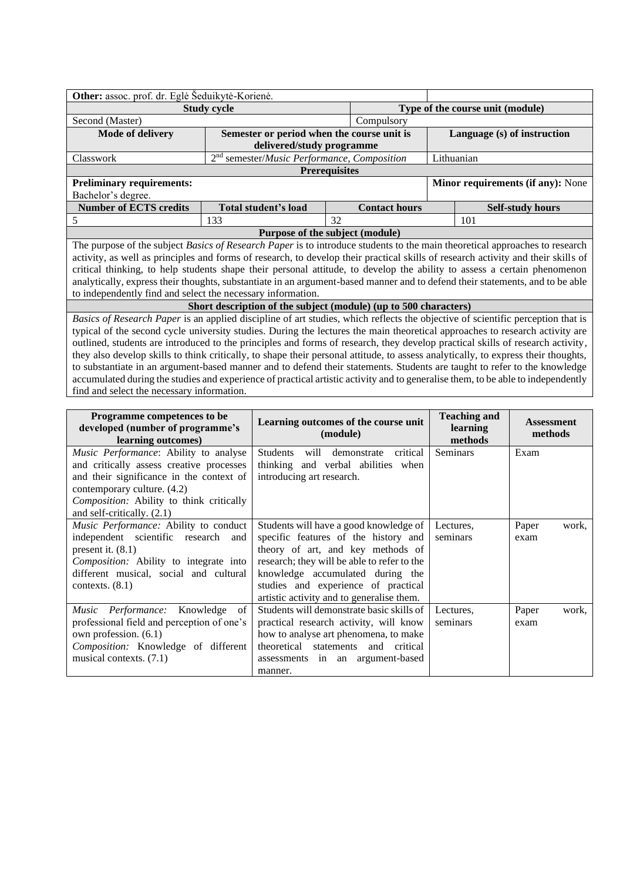| Other: assoc. prof. dr. Eglė Šeduikytė-Korienė.             |                                                                  |                                  |                      |            |                                                                                                                                                                                                                                                                                                                                                                                                                                                                                                                                                                                                                                                                                                                                                                                                          |  |
|-------------------------------------------------------------|------------------------------------------------------------------|----------------------------------|----------------------|------------|----------------------------------------------------------------------------------------------------------------------------------------------------------------------------------------------------------------------------------------------------------------------------------------------------------------------------------------------------------------------------------------------------------------------------------------------------------------------------------------------------------------------------------------------------------------------------------------------------------------------------------------------------------------------------------------------------------------------------------------------------------------------------------------------------------|--|
|                                                             | <b>Study cycle</b>                                               | Type of the course unit (module) |                      |            |                                                                                                                                                                                                                                                                                                                                                                                                                                                                                                                                                                                                                                                                                                                                                                                                          |  |
| Second (Master)                                             |                                                                  |                                  | Compulsory           |            |                                                                                                                                                                                                                                                                                                                                                                                                                                                                                                                                                                                                                                                                                                                                                                                                          |  |
| <b>Mode of delivery</b>                                     | Semester or period when the course unit is                       |                                  |                      |            | Language (s) of instruction                                                                                                                                                                                                                                                                                                                                                                                                                                                                                                                                                                                                                                                                                                                                                                              |  |
|                                                             | delivered/study programme                                        |                                  |                      |            |                                                                                                                                                                                                                                                                                                                                                                                                                                                                                                                                                                                                                                                                                                                                                                                                          |  |
| Classwork                                                   | 2 <sup>nd</sup> semester/Music Performance, Composition          |                                  |                      | Lithuanian |                                                                                                                                                                                                                                                                                                                                                                                                                                                                                                                                                                                                                                                                                                                                                                                                          |  |
|                                                             | <b>Prerequisites</b>                                             |                                  |                      |            |                                                                                                                                                                                                                                                                                                                                                                                                                                                                                                                                                                                                                                                                                                                                                                                                          |  |
| <b>Preliminary requirements:</b>                            |                                                                  |                                  |                      |            | <b>Minor requirements (if any):</b> None                                                                                                                                                                                                                                                                                                                                                                                                                                                                                                                                                                                                                                                                                                                                                                 |  |
| Bachelor's degree.                                          |                                                                  |                                  |                      |            |                                                                                                                                                                                                                                                                                                                                                                                                                                                                                                                                                                                                                                                                                                                                                                                                          |  |
| <b>Number of ECTS credits</b>                               | Total student's load                                             |                                  | <b>Contact hours</b> |            | <b>Self-study hours</b>                                                                                                                                                                                                                                                                                                                                                                                                                                                                                                                                                                                                                                                                                                                                                                                  |  |
| 5                                                           | 133                                                              | 32                               |                      |            | 101                                                                                                                                                                                                                                                                                                                                                                                                                                                                                                                                                                                                                                                                                                                                                                                                      |  |
|                                                             | Purpose of the subject (module)                                  |                                  |                      |            |                                                                                                                                                                                                                                                                                                                                                                                                                                                                                                                                                                                                                                                                                                                                                                                                          |  |
|                                                             |                                                                  |                                  |                      |            | The purpose of the subject Basics of Research Paper is to introduce students to the main theoretical approaches to research                                                                                                                                                                                                                                                                                                                                                                                                                                                                                                                                                                                                                                                                              |  |
|                                                             |                                                                  |                                  |                      |            | activity, as well as principles and forms of research, to develop their practical skills of research activity and their skills of                                                                                                                                                                                                                                                                                                                                                                                                                                                                                                                                                                                                                                                                        |  |
|                                                             |                                                                  |                                  |                      |            | critical thinking, to help students shape their personal attitude, to develop the ability to assess a certain phenomenon                                                                                                                                                                                                                                                                                                                                                                                                                                                                                                                                                                                                                                                                                 |  |
|                                                             |                                                                  |                                  |                      |            | analytically, express their thoughts, substantiate in an argument-based manner and to defend their statements, and to be able                                                                                                                                                                                                                                                                                                                                                                                                                                                                                                                                                                                                                                                                            |  |
| to independently find and select the necessary information. |                                                                  |                                  |                      |            |                                                                                                                                                                                                                                                                                                                                                                                                                                                                                                                                                                                                                                                                                                                                                                                                          |  |
|                                                             | Short description of the subject (module) (up to 500 characters) |                                  |                      |            |                                                                                                                                                                                                                                                                                                                                                                                                                                                                                                                                                                                                                                                                                                                                                                                                          |  |
| find and select the necessary information.                  |                                                                  |                                  |                      |            | Basics of Research Paper is an applied discipline of art studies, which reflects the objective of scientific perception that is<br>typical of the second cycle university studies. During the lectures the main theoretical approaches to research activity are<br>outlined, students are introduced to the principles and forms of research, they develop practical skills of research activity,<br>they also develop skills to think critically, to shape their personal attitude, to assess analytically, to express their thoughts,<br>to substantiate in an argument-based manner and to defend their statements. Students are taught to refer to the knowledge<br>accumulated during the studies and experience of practical artistic activity and to generalise them, to be able to independently |  |

| Programme competences to be<br>developed (number of programme's<br>learning outcomes)                                                                                                                                         | Learning outcomes of the course unit<br>(module)                                                                                                                                                                                                                                           | <b>Teaching and</b><br>learning<br>methods | <b>Assessment</b><br>methods |
|-------------------------------------------------------------------------------------------------------------------------------------------------------------------------------------------------------------------------------|--------------------------------------------------------------------------------------------------------------------------------------------------------------------------------------------------------------------------------------------------------------------------------------------|--------------------------------------------|------------------------------|
| <i>Music Performance:</i> Ability to analyse<br>and critically assess creative processes<br>and their significance in the context of                                                                                          | critical<br><b>Students</b><br>will<br>demonstrate<br>thinking and verbal abilities when<br>introducing art research.                                                                                                                                                                      | Seminars                                   | Exam                         |
| contemporary culture. (4.2)<br>Composition: Ability to think critically<br>and self-critically. (2.1)                                                                                                                         |                                                                                                                                                                                                                                                                                            |                                            |                              |
| <i>Music Performance:</i> Ability to conduct<br>independent scientific research<br>and<br>present it. $(8.1)$<br><i>Composition:</i> Ability to integrate into<br>different musical, social and cultural<br>contexts. $(8.1)$ | Students will have a good knowledge of<br>specific features of the history and<br>theory of art, and key methods of<br>research; they will be able to refer to the<br>knowledge accumulated during the<br>studies and experience of practical<br>artistic activity and to generalise them. | Lectures,<br>seminars                      | Paper<br>work,<br>exam       |
| Music Performance: Knowledge<br>of<br>professional field and perception of one's<br>own profession. (6.1)<br>Composition: Knowledge of different<br>musical contexts. $(7.1)$                                                 | Students will demonstrate basic skills of<br>practical research activity, will know<br>how to analyse art phenomena, to make<br>theoretical statements and critical<br>assessments in an argument-based<br>manner.                                                                         | Lectures.<br>seminars                      | Paper<br>work,<br>exam       |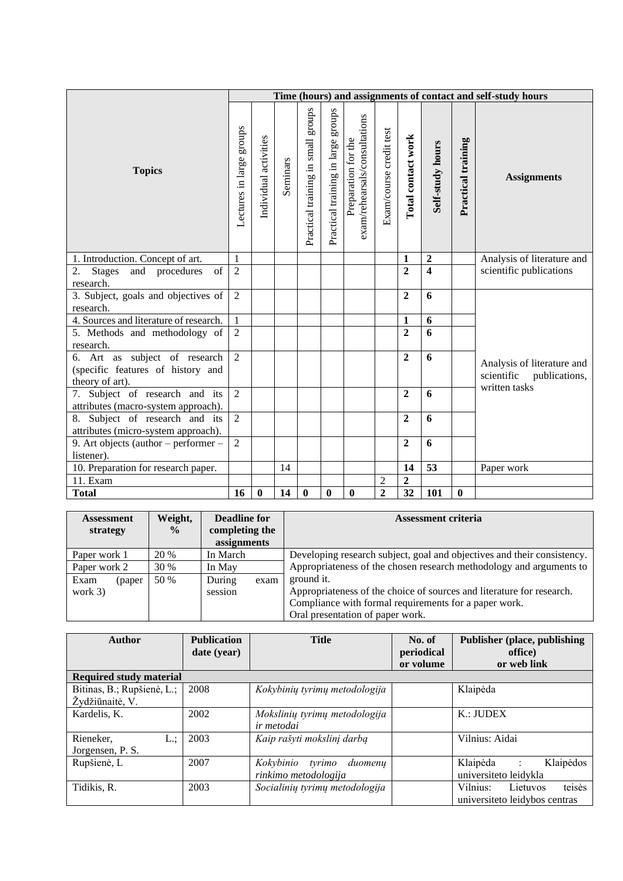|                                                                                       |                          |                       |          |                                    |                                    |                                                      |                         |                         |                         |                    | Time (hours) and assignments of contact and self-study hours |  |
|---------------------------------------------------------------------------------------|--------------------------|-----------------------|----------|------------------------------------|------------------------------------|------------------------------------------------------|-------------------------|-------------------------|-------------------------|--------------------|--------------------------------------------------------------|--|
| <b>Topics</b>                                                                         | Lectures in large groups | Individual activities | Seminars | Practical training in small groups | Practical training in large groups | exam/rehearsals/consultations<br>Preparation for the | Exam/course credit test | Total contact work      | Self-study hours        | Practical training | <b>Assignments</b>                                           |  |
| 1. Introduction. Concept of art.                                                      | $\mathbf{1}$             |                       |          |                                    |                                    |                                                      |                         | $\mathbf{1}$            | $\overline{2}$          |                    | Analysis of literature and                                   |  |
| of<br>and procedures<br><b>Stages</b><br>2.<br>research.                              | $\overline{2}$           |                       |          |                                    |                                    |                                                      |                         | $\boldsymbol{2}$        | $\overline{\mathbf{4}}$ |                    | scientific publications                                      |  |
| 3. Subject, goals and objectives of<br>research.                                      | $\overline{2}$           |                       |          |                                    |                                    |                                                      |                         | $\overline{2}$          | 6                       |                    |                                                              |  |
| 4. Sources and literature of research.                                                | $\mathbf{1}$             |                       |          |                                    |                                    |                                                      |                         | $\mathbf{1}$            | 6                       |                    |                                                              |  |
| 5. Methods and methodology of<br>research.                                            | $\overline{2}$           |                       |          |                                    |                                    |                                                      |                         | $\overline{2}$          | 6                       |                    |                                                              |  |
| 6. Art as subject of research<br>(specific features of history and<br>theory of art). | $\overline{2}$           |                       |          |                                    |                                    |                                                      |                         | $\overline{2}$          | 6                       |                    | Analysis of literature and<br>scientific<br>publications,    |  |
| 7. Subject of research and its<br>attributes (macro-system approach).                 | $\overline{2}$           |                       |          |                                    |                                    |                                                      |                         | $\overline{2}$          | 6                       |                    | written tasks                                                |  |
| 8. Subject of research and its<br>attributes (micro-system approach).                 | $\overline{2}$           |                       |          |                                    |                                    |                                                      |                         | $\overline{2}$          | 6                       |                    |                                                              |  |
| 9. Art objects (author $-$ performer $-$<br>listener).                                | $\overline{2}$           |                       |          |                                    |                                    |                                                      |                         | $\overline{2}$          | 6                       |                    |                                                              |  |
| 10. Preparation for research paper.                                                   |                          |                       | 14       |                                    |                                    |                                                      |                         | 14                      | 53                      |                    | Paper work                                                   |  |
| 11. Exam                                                                              |                          |                       |          |                                    |                                    |                                                      | $\overline{2}$          | $\overline{\mathbf{c}}$ |                         |                    |                                                              |  |
| <b>Total</b>                                                                          | 16                       | $\bf{0}$              | 14       | $\bf{0}$                           | 0                                  | $\boldsymbol{0}$                                     | $\overline{2}$          | $\overline{32}$         | 101                     | $\bf{0}$           |                                                              |  |

| <b>Assessment</b><br>strategy | Weight,<br>$\frac{6}{9}$ | <b>Deadline for</b><br>completing the<br>assignments |      | <b>Assessment criteria</b>                                              |
|-------------------------------|--------------------------|------------------------------------------------------|------|-------------------------------------------------------------------------|
| Paper work 1                  | 20 %                     | In March                                             |      | Developing research subject, goal and objectives and their consistency. |
| Paper work 2                  | 30 %                     | In May                                               |      | Appropriateness of the chosen research methodology and arguments to     |
| Exam<br>(paper)               | 50 %                     | During                                               | exam | ground it.                                                              |
| work $3)$                     |                          | session                                              |      | Appropriateness of the choice of sources and literature for research.   |
|                               |                          |                                                      |      | Compliance with formal requirements for a paper work.                   |
|                               |                          |                                                      |      | Oral presentation of paper work.                                        |

| <b>Author</b>                  | <b>Publication</b><br>date (year) | <b>Title</b>                   | No. of<br>periodical | Publisher (place, publishing<br>office) |
|--------------------------------|-----------------------------------|--------------------------------|----------------------|-----------------------------------------|
|                                |                                   |                                | or volume            | or web link                             |
| <b>Required study material</b> |                                   |                                |                      |                                         |
| Bitinas, B.; Rupšienė, L.;     | 2008                              | Kokybinių tyrimų metodologija  |                      | Klaipėda                                |
| Žydžiūnaitė, V.                |                                   |                                |                      |                                         |
| Kardelis, K.                   | 2002                              | Mokslinių tyrimų metodologija  |                      | K.: JUDEX                               |
|                                |                                   | ir metodai                     |                      |                                         |
| Rieneker,<br>L.:               | 2003                              | Kaip rašyti mokslinį darbą     |                      | Vilnius: Aidai                          |
| Jorgensen, P. S.               |                                   |                                |                      |                                         |
| Rupšienė, L                    | 2007                              | Kokybinio<br>tvrimo<br>duomenų |                      | Klaipėda<br>Klaipėdos<br>$\ddot{\cdot}$ |
|                                |                                   | rinkimo metodologija           |                      | universiteto leidykla                   |
| Tidikis, R.                    | 2003                              | Socialinių tyrimų metodologija |                      | teisės<br>Vilnius:<br>Lietuvos          |
|                                |                                   |                                |                      | universite to leidybos centras          |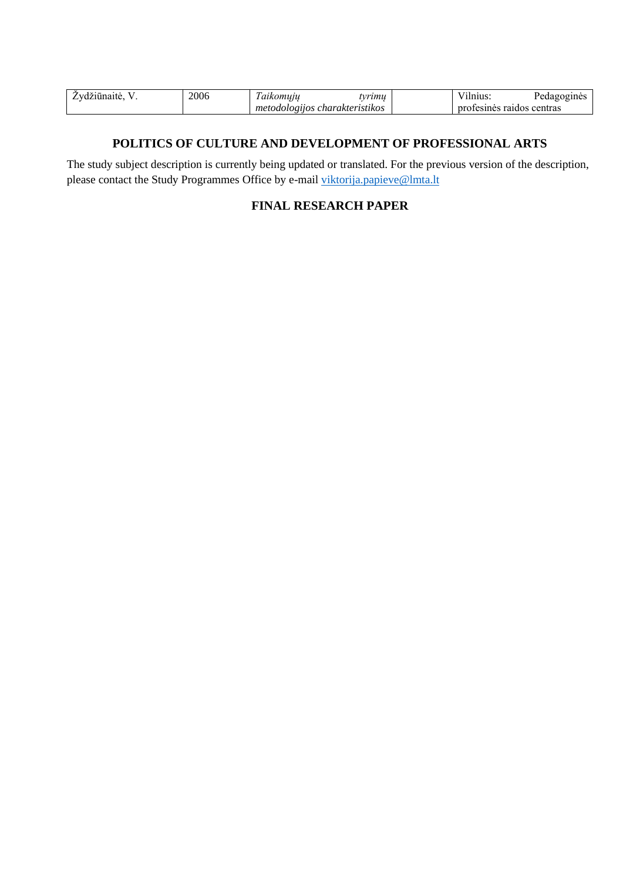| 2006 | $\sim$<br>.<br>$\cdot$<br>້ | vrımı            | $\sim$ .<br>        | <b>THIL</b> |
|------|-----------------------------|------------------|---------------------|-------------|
|      | met<br>etodologuos          | charakteristikos | ro<br>raidos<br>me: | centras     |

#### **POLITICS OF CULTURE AND DEVELOPMENT OF PROFESSIONAL ARTS**

<span id="page-16-1"></span><span id="page-16-0"></span>The study subject description is currently being updated or translated. For the previous version of the description, please contact the Study Programmes Office by e-mail [viktorija.papieve@lmta.lt](mailto:viktorija.papieve@lmta.lt)

### **FINAL RESEARCH PAPER**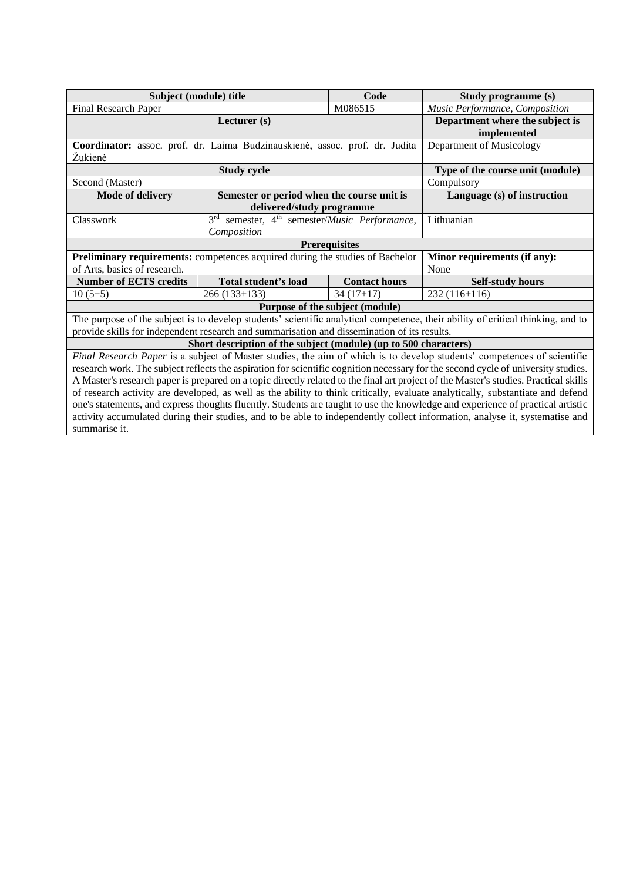| Subject (module) title                                                                      |                                                                          | Code                            | Study programme (s)                                                                                                                                                                                                                                                                                                                                                                                                                                                                                                                                                                                                                                                                                                                                                                                     |  |  |  |  |
|---------------------------------------------------------------------------------------------|--------------------------------------------------------------------------|---------------------------------|---------------------------------------------------------------------------------------------------------------------------------------------------------------------------------------------------------------------------------------------------------------------------------------------------------------------------------------------------------------------------------------------------------------------------------------------------------------------------------------------------------------------------------------------------------------------------------------------------------------------------------------------------------------------------------------------------------------------------------------------------------------------------------------------------------|--|--|--|--|
| Final Research Paper                                                                        |                                                                          | M086515                         | Music Performance, Composition                                                                                                                                                                                                                                                                                                                                                                                                                                                                                                                                                                                                                                                                                                                                                                          |  |  |  |  |
|                                                                                             | Lecturer (s)                                                             |                                 | Department where the subject is<br>implemented                                                                                                                                                                                                                                                                                                                                                                                                                                                                                                                                                                                                                                                                                                                                                          |  |  |  |  |
| Coordinator: assoc. prof. dr. Laima Budzinauskienė, assoc. prof. dr. Judita<br>Žukienė      | Department of Musicology                                                 |                                 |                                                                                                                                                                                                                                                                                                                                                                                                                                                                                                                                                                                                                                                                                                                                                                                                         |  |  |  |  |
|                                                                                             | <b>Study cycle</b>                                                       |                                 | Type of the course unit (module)                                                                                                                                                                                                                                                                                                                                                                                                                                                                                                                                                                                                                                                                                                                                                                        |  |  |  |  |
| Second (Master)                                                                             |                                                                          |                                 | Compulsory                                                                                                                                                                                                                                                                                                                                                                                                                                                                                                                                                                                                                                                                                                                                                                                              |  |  |  |  |
| Mode of delivery                                                                            | Semester or period when the course unit is<br>delivered/study programme  |                                 | Language (s) of instruction                                                                                                                                                                                                                                                                                                                                                                                                                                                                                                                                                                                                                                                                                                                                                                             |  |  |  |  |
| Classwork                                                                                   | 3rd semester, 4 <sup>th</sup> semester/Music Performance,<br>Composition |                                 | Lithuanian                                                                                                                                                                                                                                                                                                                                                                                                                                                                                                                                                                                                                                                                                                                                                                                              |  |  |  |  |
| <b>Prerequisites</b>                                                                        |                                                                          |                                 |                                                                                                                                                                                                                                                                                                                                                                                                                                                                                                                                                                                                                                                                                                                                                                                                         |  |  |  |  |
| Preliminary requirements: competences acquired during the studies of Bachelor               |                                                                          |                                 | Minor requirements (if any):                                                                                                                                                                                                                                                                                                                                                                                                                                                                                                                                                                                                                                                                                                                                                                            |  |  |  |  |
| of Arts, basics of research.                                                                |                                                                          |                                 | None                                                                                                                                                                                                                                                                                                                                                                                                                                                                                                                                                                                                                                                                                                                                                                                                    |  |  |  |  |
| <b>Number of ECTS credits</b>                                                               | Total student's load                                                     | <b>Contact hours</b>            | <b>Self-study hours</b>                                                                                                                                                                                                                                                                                                                                                                                                                                                                                                                                                                                                                                                                                                                                                                                 |  |  |  |  |
| $10(5+5)$                                                                                   | $266(133+133)$                                                           | $34(17+17)$                     | $232(116+116)$                                                                                                                                                                                                                                                                                                                                                                                                                                                                                                                                                                                                                                                                                                                                                                                          |  |  |  |  |
|                                                                                             |                                                                          | Purpose of the subject (module) |                                                                                                                                                                                                                                                                                                                                                                                                                                                                                                                                                                                                                                                                                                                                                                                                         |  |  |  |  |
| provide skills for independent research and summarisation and dissemination of its results. |                                                                          |                                 | The purpose of the subject is to develop students' scientific analytical competence, their ability of critical thinking, and to                                                                                                                                                                                                                                                                                                                                                                                                                                                                                                                                                                                                                                                                         |  |  |  |  |
|                                                                                             | Short description of the subject (module) (up to 500 characters)         |                                 |                                                                                                                                                                                                                                                                                                                                                                                                                                                                                                                                                                                                                                                                                                                                                                                                         |  |  |  |  |
| summarise it.                                                                               |                                                                          |                                 | Final Research Paper is a subject of Master studies, the aim of which is to develop students' competences of scientific<br>research work. The subject reflects the aspiration for scientific cognition necessary for the second cycle of university studies.<br>A Master's research paper is prepared on a topic directly related to the final art project of the Master's studies. Practical skills<br>of research activity are developed, as well as the ability to think critically, evaluate analytically, substantiate and defend<br>one's statements, and express thoughts fluently. Students are taught to use the knowledge and experience of practical artistic<br>activity accumulated during their studies, and to be able to independently collect information, analyse it, systematise and |  |  |  |  |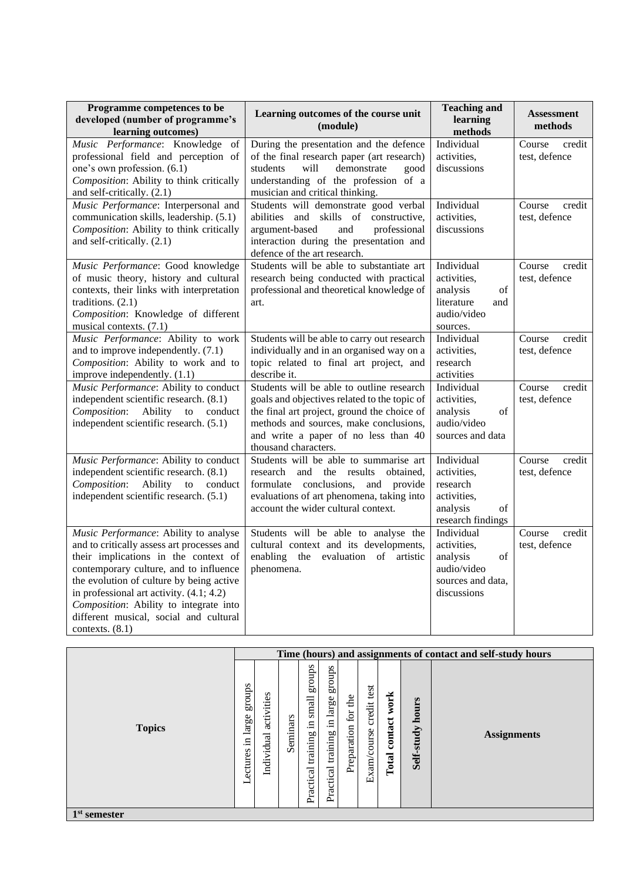| Programme competences to be<br>developed (number of programme's<br>learning outcomes)                                                                                                                                                                                                                                                                                    | Learning outcomes of the course unit<br>(module)                                                                                                                                                                                                   | <b>Teaching and</b><br>learning<br>methods                                                     | <b>Assessment</b><br>methods      |
|--------------------------------------------------------------------------------------------------------------------------------------------------------------------------------------------------------------------------------------------------------------------------------------------------------------------------------------------------------------------------|----------------------------------------------------------------------------------------------------------------------------------------------------------------------------------------------------------------------------------------------------|------------------------------------------------------------------------------------------------|-----------------------------------|
| Music Performance: Knowledge of<br>professional field and perception of<br>one's own profession. (6.1)<br>Composition: Ability to think critically<br>and self-critically. (2.1)                                                                                                                                                                                         | During the presentation and the defence<br>of the final research paper (art research)<br>students<br>will<br>demonstrate<br>good<br>understanding of the profession of a<br>musician and critical thinking.                                        | Individual<br>activities,<br>discussions                                                       | Course<br>credit<br>test, defence |
| Music Performance: Interpersonal and<br>communication skills, leadership. (5.1)<br>Composition: Ability to think critically<br>and self-critically. (2.1)                                                                                                                                                                                                                | Students will demonstrate good verbal<br>abilities and skills of constructive,<br>argument-based<br>professional<br>and<br>interaction during the presentation and<br>defence of the art research.                                                 | Individual<br>activities,<br>discussions                                                       | credit<br>Course<br>test, defence |
| Music Performance: Good knowledge<br>of music theory, history and cultural<br>contexts, their links with interpretation<br>traditions. $(2.1)$<br>Composition: Knowledge of different<br>musical contexts. (7.1)                                                                                                                                                         | Students will be able to substantiate art<br>research being conducted with practical<br>professional and theoretical knowledge of<br>art.                                                                                                          | Individual<br>activities,<br>analysis<br>of<br>literature<br>and<br>audio/video<br>sources.    | Course<br>credit<br>test, defence |
| Music Performance: Ability to work<br>and to improve independently. (7.1)<br>Composition: Ability to work and to<br>improve independently. (1.1)                                                                                                                                                                                                                         | Students will be able to carry out research<br>individually and in an organised way on a<br>topic related to final art project, and<br>describe it.                                                                                                | Individual<br>activities,<br>research<br>activities                                            | Course<br>credit<br>test, defence |
| Music Performance: Ability to conduct<br>independent scientific research. (8.1)<br>Ability<br>Composition:<br>to<br>conduct<br>independent scientific research. (5.1)                                                                                                                                                                                                    | Students will be able to outline research<br>goals and objectives related to the topic of<br>the final art project, ground the choice of<br>methods and sources, make conclusions,<br>and write a paper of no less than 40<br>thousand characters. | Individual<br>activities,<br>analysis<br>$\sigma f$<br>audio/video<br>sources and data         | credit<br>Course<br>test, defence |
| Music Performance: Ability to conduct<br>independent scientific research. (8.1)<br>Ability<br>Composition:<br>conduct<br>to<br>independent scientific research. (5.1)                                                                                                                                                                                                    | Students will be able to summarise art<br>and the results<br>research<br>obtained.<br>formulate conclusions,<br>and provide<br>evaluations of art phenomena, taking into<br>account the wider cultural context.                                    | Individual<br>activities,<br>research<br>activities,<br>analysis<br>of<br>research findings    | Course<br>credit<br>test, defence |
| Music Performance: Ability to analyse<br>and to critically assess art processes and<br>their implications in the context of<br>contemporary culture, and to influence<br>the evolution of culture by being active<br>in professional art activity. $(4.1; 4.2)$<br>Composition: Ability to integrate into<br>different musical, social and cultural<br>contexts. $(8.1)$ | Students will be able to analyse the<br>cultural context and its developments,<br>enabling the evaluation of artistic<br>phenomena.                                                                                                                | Individual<br>activities,<br>analysis<br>of<br>audio/video<br>sources and data,<br>discussions | Course<br>credit<br>test, defence |

|                |                                       |                          |          |                                                |                                                |                        |                               |                          |                     | Time (hours) and assignments of contact and self-study hours |
|----------------|---------------------------------------|--------------------------|----------|------------------------------------------------|------------------------------------------------|------------------------|-------------------------------|--------------------------|---------------------|--------------------------------------------------------------|
| <b>Topics</b>  | groups<br>large<br>크.<br>ectures<br>⊣ | activities<br>Individual | Seminars | sanong<br>small<br>.크<br>training<br>Practical | sdnora<br>large<br>,日<br>training<br>Practical | for the<br>Preparation | test<br>credit<br>Exam/course | work<br>contact<br>Total | hours<br>Self-study | <b>Assignments</b>                                           |
| $1st$ semester |                                       |                          |          |                                                |                                                |                        |                               |                          |                     |                                                              |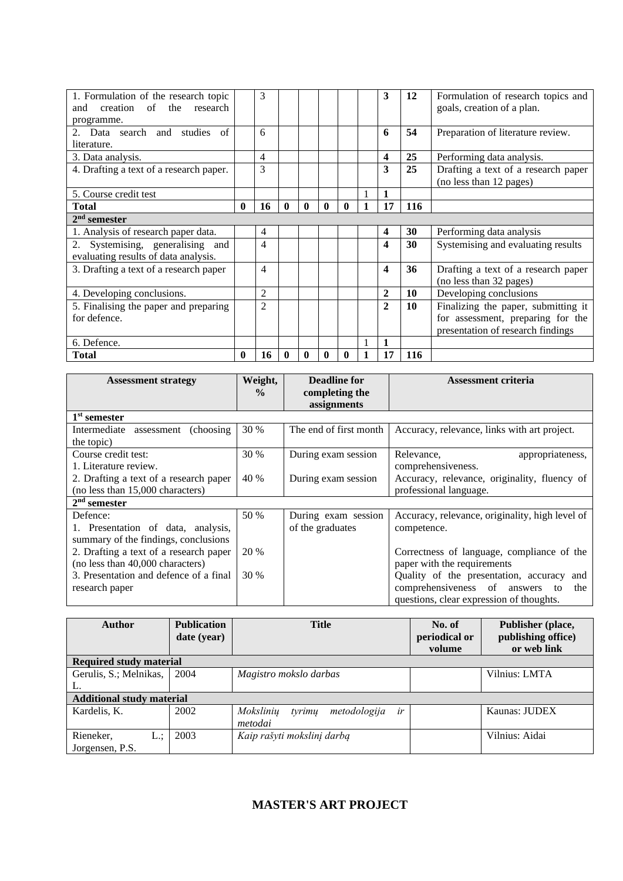| 1. Formulation of the research topic<br>research<br>creation of<br>the<br>and<br>programme. |              | 3              |              |   |   |   |              | 3              | <b>12</b> | Formulation of research topics and<br>goals, creation of a plan.                                              |
|---------------------------------------------------------------------------------------------|--------------|----------------|--------------|---|---|---|--------------|----------------|-----------|---------------------------------------------------------------------------------------------------------------|
| Data search and studies<br>of<br>$2^{+}$<br>literature.                                     |              | 6              |              |   |   |   |              | 6              | 54        | Preparation of literature review.                                                                             |
| 3. Data analysis.                                                                           |              | 4              |              |   |   |   |              | 4              | 25        | Performing data analysis.                                                                                     |
| 4. Drafting a text of a research paper.                                                     |              | 3              |              |   |   |   |              | 3              | 25        | Drafting a text of a research paper<br>(no less than 12 pages)                                                |
| 5. Course credit test                                                                       |              |                |              |   |   |   |              | 1              |           |                                                                                                               |
| <b>Total</b>                                                                                | $\mathbf{0}$ | 16             | $\mathbf{0}$ | 0 | 0 | 0 | $\mathbf{1}$ | 17             | 116       |                                                                                                               |
| $2nd$ semester                                                                              |              |                |              |   |   |   |              |                |           |                                                                                                               |
| 1. Analysis of research paper data.                                                         |              | 4              |              |   |   |   |              | 4              | 30        | Performing data analysis                                                                                      |
| 2. Systemising, generalising and<br>evaluating results of data analysis.                    |              | 4              |              |   |   |   |              | 4              | 30        | Systemising and evaluating results                                                                            |
| 3. Drafting a text of a research paper                                                      |              | 4              |              |   |   |   |              | 4              | 36        | Drafting a text of a research paper<br>(no less than 32 pages)                                                |
| 4. Developing conclusions.                                                                  |              | $\overline{2}$ |              |   |   |   |              | $\overline{2}$ | 10        | Developing conclusions                                                                                        |
| 5. Finalising the paper and preparing<br>for defence.                                       |              | $\mathfrak{D}$ |              |   |   |   |              | $\mathbf{2}$   | 10        | Finalizing the paper, submitting it<br>for assessment, preparing for the<br>presentation of research findings |
| 6. Defence.                                                                                 |              |                |              |   |   |   |              |                |           |                                                                                                               |
| <b>Total</b>                                                                                | 0            | 16             |              | 0 |   | 0 |              | 17             | 116       |                                                                                                               |

| <b>Assessment strategy</b>             | Weight,<br>$\frac{0}{0}$ | <b>Deadline for</b><br>completing the | Assessment criteria                             |  |  |
|----------------------------------------|--------------------------|---------------------------------------|-------------------------------------------------|--|--|
|                                        |                          | assignments                           |                                                 |  |  |
| 1 <sup>st</sup> semester               |                          |                                       |                                                 |  |  |
| Intermediate assessment (choosing)     | 30 %                     | The end of first month                | Accuracy, relevance, links with art project.    |  |  |
| the topic)                             |                          |                                       |                                                 |  |  |
| Course credit test:                    | 30 %                     | During exam session                   | Relevance,<br>appropriateness,                  |  |  |
| 1. Literature review.                  |                          |                                       | comprehensiveness.                              |  |  |
| 2. Drafting a text of a research paper | 40 %                     | During exam session                   | Accuracy, relevance, originality, fluency of    |  |  |
| (no less than 15,000 characters)       |                          |                                       | professional language.                          |  |  |
| $2nd$ semester                         |                          |                                       |                                                 |  |  |
| Defence:                               | 50 %                     | During exam session                   | Accuracy, relevance, originality, high level of |  |  |
| 1. Presentation of data, analysis,     |                          | of the graduates                      | competence.                                     |  |  |
| summary of the findings, conclusions   |                          |                                       |                                                 |  |  |
| 2. Drafting a text of a research paper | 20 %                     |                                       | Correctness of language, compliance of the      |  |  |
| (no less than 40,000 characters)       |                          |                                       | paper with the requirements                     |  |  |
| 3. Presentation and defence of a final | 30 %                     |                                       | Quality of the presentation, accuracy<br>and    |  |  |
| research paper                         |                          |                                       | comprehensiveness of answers<br>the<br>to       |  |  |
|                                        |                          |                                       | questions, clear expression of thoughts.        |  |  |

<span id="page-19-0"></span>

| <b>Author</b>                    | <b>Publication</b> | <b>Title</b>                              | No. of        | Publisher (place,  |
|----------------------------------|--------------------|-------------------------------------------|---------------|--------------------|
|                                  | date (year)        |                                           | periodical or | publishing office) |
|                                  |                    |                                           | volume        | or web link        |
| <b>Required study material</b>   |                    |                                           |               |                    |
| Gerulis, S.; Melnikas,<br>2004   |                    | Magistro mokslo darbas                    |               | Vilnius: LMTA      |
|                                  |                    |                                           |               |                    |
| <b>Additional study material</b> |                    |                                           |               |                    |
| Kardelis, K.                     | 2002               | Mokslinių<br>metodologija<br>tyrimu<br>ir |               | Kaunas: JUDEX      |
|                                  |                    | metodai                                   |               |                    |
| Rieneker,<br>L:                  | 2003               | Kaip rašyti mokslinį darbą                |               | Vilnius: Aidai     |
| Jorgensen, P.S.                  |                    |                                           |               |                    |

## **MASTER'S ART PROJECT**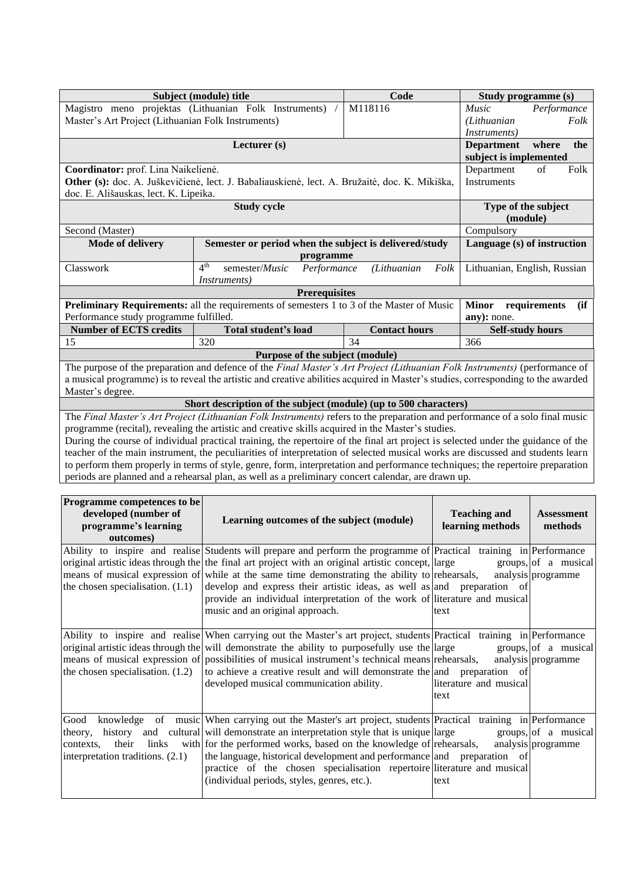|                                                    | Subject (module) title                                                                                                            | Code                 | Study programme (s)          |                      |  |  |  |  |
|----------------------------------------------------|-----------------------------------------------------------------------------------------------------------------------------------|----------------------|------------------------------|----------------------|--|--|--|--|
|                                                    | Magistro meno projektas (Lithuanian Folk Instruments)                                                                             | M118116              | <i>Music</i>                 | Performance          |  |  |  |  |
| Master's Art Project (Lithuanian Folk Instruments) |                                                                                                                                   |                      | (Lithuanian                  | Folk                 |  |  |  |  |
|                                                    |                                                                                                                                   |                      | <i>Instruments</i> )         |                      |  |  |  |  |
|                                                    | Lecturer (s)                                                                                                                      |                      | <b>Department</b>            | where<br>the         |  |  |  |  |
|                                                    |                                                                                                                                   |                      |                              |                      |  |  |  |  |
| Coordinator: prof. Lina Naikelienė.                | Department                                                                                                                        | Folk<br>of           |                              |                      |  |  |  |  |
|                                                    | Other (s): doc. A. Juškevičienė, lect. J. Babaliauskienė, lect. A. Bružaitė, doc. K. Mikiška,                                     |                      | Instruments                  |                      |  |  |  |  |
| doc. E. Ališauskas, lect. K. Lipeika.              |                                                                                                                                   |                      |                              |                      |  |  |  |  |
|                                                    | <b>Study cycle</b>                                                                                                                |                      | Type of the subject          |                      |  |  |  |  |
|                                                    |                                                                                                                                   |                      | (module)                     |                      |  |  |  |  |
| Second (Master)                                    | Compulsory                                                                                                                        |                      |                              |                      |  |  |  |  |
| Mode of delivery                                   | Language (s) of instruction                                                                                                       |                      |                              |                      |  |  |  |  |
|                                                    | programme                                                                                                                         |                      |                              |                      |  |  |  |  |
| Classwork                                          | 4 <sup>th</sup><br>semester/Music<br>Performance                                                                                  | (Lithuanian<br>Folk  | Lithuanian, English, Russian |                      |  |  |  |  |
|                                                    | Instruments)                                                                                                                      |                      |                              |                      |  |  |  |  |
|                                                    | <b>Prerequisites</b>                                                                                                              |                      |                              |                      |  |  |  |  |
|                                                    | <b>Preliminary Requirements:</b> all the requirements of semesters 1 to 3 of the Master of Music                                  |                      | <b>Minor</b>                 | (ii)<br>requirements |  |  |  |  |
| Performance study programme fulfilled.             |                                                                                                                                   |                      | any): none.                  |                      |  |  |  |  |
| <b>Number of ECTS credits</b>                      | Total student's load                                                                                                              | <b>Contact hours</b> | <b>Self-study hours</b>      |                      |  |  |  |  |
| 15                                                 | 320                                                                                                                               | 34                   | 366                          |                      |  |  |  |  |
|                                                    | Purpose of the subject (module)                                                                                                   |                      |                              |                      |  |  |  |  |
|                                                    | The purpose of the preparation and defence of the Final Master's Art Project (Lithuanian Folk Instruments) (performance of        |                      |                              |                      |  |  |  |  |
|                                                    | a musical programme) is to reveal the artistic and creative abilities acquired in Master's studies, corresponding to the awarded  |                      |                              |                      |  |  |  |  |
| Master's degree.                                   |                                                                                                                                   |                      |                              |                      |  |  |  |  |
|                                                    | Short description of the subject (module) (up to 500 characters)                                                                  |                      |                              |                      |  |  |  |  |
|                                                    | The Final Master's Art Project (Lithuanian Folk Instruments) refers to the preparation and performance of a solo final music      |                      |                              |                      |  |  |  |  |
|                                                    | programme (recital), revealing the artistic and creative skills acquired in the Master's studies.                                 |                      |                              |                      |  |  |  |  |
|                                                    | During the course of individual practical training, the repertoire of the final art project is selected under the guidance of the |                      |                              |                      |  |  |  |  |
|                                                    | together of the main instrument, the peculiarities of interpretation of selected musical works are discussed and students learn   |                      |                              |                      |  |  |  |  |

teacher of the main instrument, the peculiarities of interpretation of selected musical works are discussed and students learn to perform them properly in terms of style, genre, form, interpretation and performance techniques; the repertoire preparation periods are planned and a rehearsal plan, as well as a preliminary concert calendar, are drawn up.

| <b>Programme competences to be</b><br>developed (number of<br>programme's learning<br>outcomes) | Learning outcomes of the subject (module)                                                                                                                                                                                                                                                                                                                                                                                                                                                                                        | <b>Teaching and</b><br>learning methods | <b>Assessment</b><br>methods               |
|-------------------------------------------------------------------------------------------------|----------------------------------------------------------------------------------------------------------------------------------------------------------------------------------------------------------------------------------------------------------------------------------------------------------------------------------------------------------------------------------------------------------------------------------------------------------------------------------------------------------------------------------|-----------------------------------------|--------------------------------------------|
| the chosen specialisation. $(1.1)$                                                              | Ability to inspire and realise Students will prepare and perform the programme of Practical training in Performance<br>original artistic ideas through the $\lvert$ the final art project with an original artistic concept, large<br>means of musical expression of while at the same time demonstrating the ability to rehearsals,<br>develop and express their artistic ideas, as well as and preparation of<br>provide an individual interpretation of the work of literature and musical<br>music and an original approach. | text                                    | groups, of a musical<br>analysis programme |
|                                                                                                 | Ability to inspire and realise When carrying out the Master's art project, students Practical training in Performance<br>original artistic ideas through the will demonstrate the ability to purposefully use the large<br>means of musical expression of possibilities of musical instrument's technical means rehearsals,<br>the chosen specialisation. $(1.2)$ to achieve a creative result and will demonstrate the and preparation of<br>developed musical communication ability.                                           | literature and musical<br>text          | groups, of a musical<br>analysis programme |
| Good<br>links<br>contexts.<br>their<br>interpretation traditions. $(2.1)$                       | knowledge of music When carrying out the Master's art project, students Practical training in Performance<br>theory, history and cultural will demonstrate an interpretation style that is unique large<br>with for the performed works, based on the knowledge of rehearsals,<br>the language, historical development and performance and preparation of<br>practice of the chosen specialisation repertoire literature and musical<br>(individual periods, styles, genres, etc.).                                              | text                                    | groups, of a musical<br>analysis programme |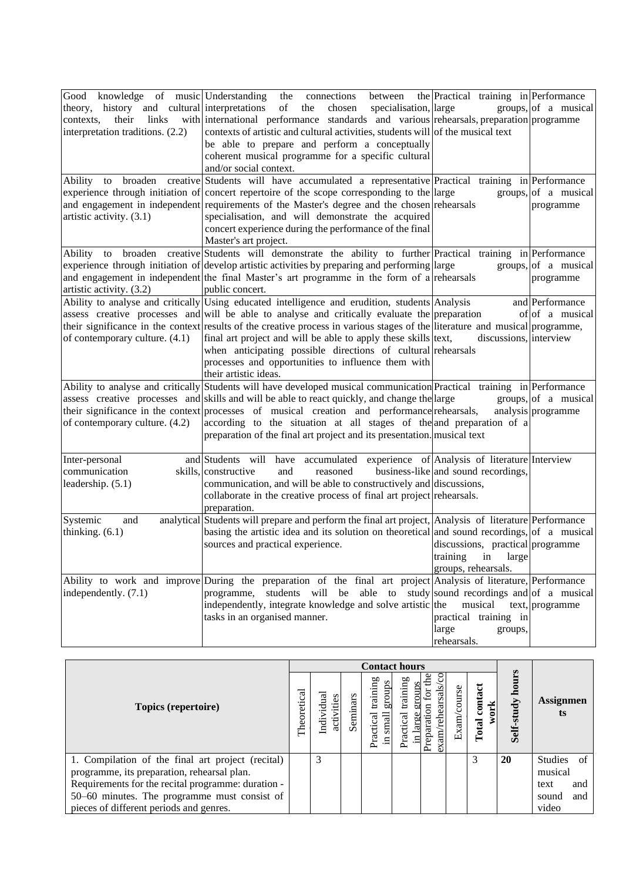| Good<br>knowledge of music Understanding     | the<br>connections<br>between                                                                                                | the Practical training in Performance |                      |
|----------------------------------------------|------------------------------------------------------------------------------------------------------------------------------|---------------------------------------|----------------------|
| theory, history and cultural interpretations | specialisation, large<br>of<br>chosen<br>the                                                                                 |                                       | groups, of a musical |
| contexts,<br>their<br>links                  | with international performance standards and various rehearsals, preparation programme                                       |                                       |                      |
| interpretation traditions. (2.2)             | contexts of artistic and cultural activities, students will of the musical text                                              |                                       |                      |
|                                              | be able to prepare and perform a conceptually                                                                                |                                       |                      |
|                                              | coherent musical programme for a specific cultural                                                                           |                                       |                      |
|                                              | and/or social context.                                                                                                       |                                       |                      |
| Ability<br>to                                | broaden creative Students will have accumulated a representative Practical training in Performance                           |                                       |                      |
|                                              | experience through initiation of concert repertoire of the scope corresponding to the large                                  |                                       | groups, of a musical |
|                                              | and engagement in independent requirements of the Master's degree and the chosen rehearsals                                  |                                       | programme            |
| artistic activity. (3.1)                     | specialisation, and will demonstrate the acquired                                                                            |                                       |                      |
|                                              | concert experience during the performance of the final                                                                       |                                       |                      |
|                                              | Master's art project.                                                                                                        |                                       |                      |
| Ability to                                   | broaden creative Students will demonstrate the ability to further Practical training in Performance                          |                                       |                      |
|                                              | experience through initiation of develop artistic activities by preparing and performing large                               |                                       | groups, of a musical |
|                                              | and engagement in independent the final Master's art programme in the form of a rehearsals                                   |                                       | programme            |
| artistic activity. (3.2)                     | public concert.                                                                                                              |                                       |                      |
|                                              | Ability to analyse and critically Using educated intelligence and erudition, students Analysis                               |                                       | and Performance      |
|                                              | assess creative processes and will be able to analyse and critically evaluate the preparation                                |                                       | of of a musical      |
|                                              | their significance in the context results of the creative process in various stages of the literature and musical programme, |                                       |                      |
| of contemporary culture. (4.1)               | final art project and will be able to apply these skills text,                                                               | discussions, interview                |                      |
|                                              | when anticipating possible directions of cultural rehearsals                                                                 |                                       |                      |
|                                              | processes and opportunities to influence them with                                                                           |                                       |                      |
|                                              | their artistic ideas.                                                                                                        |                                       |                      |
|                                              | Ability to analyse and critically Students will have developed musical communication Practical training in Performance       |                                       |                      |
|                                              | assess creative processes and skills and will be able to react quickly, and change the large                                 |                                       | groups, of a musical |
|                                              | their significance in the context processes of musical creation and performance rehearsals,                                  |                                       | analysis programme   |
| of contemporary culture. (4.2)               | according to the situation at all stages of the and preparation of a                                                         |                                       |                      |
|                                              | preparation of the final art project and its presentation. musical text                                                      |                                       |                      |
|                                              |                                                                                                                              |                                       |                      |
| Inter-personal                               | and Students will have accumulated experience of Analysis of literature Interview                                            |                                       |                      |
| communication                                | skills, constructive<br>reasoned<br>and                                                                                      | business-like and sound recordings,   |                      |
|                                              |                                                                                                                              |                                       |                      |
| leadership. (5.1)                            | communication, and will be able to constructively and discussions,                                                           |                                       |                      |
|                                              | collaborate in the creative process of final art project rehearsals.                                                         |                                       |                      |
|                                              | preparation.                                                                                                                 |                                       |                      |
| Systemic<br>and                              | analytical Students will prepare and perform the final art project, Analysis of literature Performance                       |                                       |                      |
| thinking. $(6.1)$                            | basing the artistic idea and its solution on theoretical and sound recordings, of a musical                                  |                                       |                      |
|                                              | sources and practical experience.                                                                                            | discussions, practical programme      |                      |
|                                              |                                                                                                                              | training<br>in<br>large               |                      |
|                                              |                                                                                                                              | groups, rehearsals.                   |                      |
|                                              | Ability to work and improve During the preparation of the final art project Analysis of literature, Performance              |                                       |                      |
| independently. (7.1)                         | programme, students will be able to study sound recordings and of a musical                                                  |                                       |                      |
|                                              | independently, integrate knowledge and solve artistic the                                                                    | musical                               | text, programme      |
|                                              | tasks in an organised manner.                                                                                                | practical training in                 |                      |
|                                              |                                                                                                                              | large<br>groups,                      |                      |
|                                              |                                                                                                                              | rehearsals.                           |                      |

|                                                                                                                                                                                                                                                   | <b>Contact hours</b> |                          |          |                                         |                                        |                                                                      |             |                          |                  |                                                               |
|---------------------------------------------------------------------------------------------------------------------------------------------------------------------------------------------------------------------------------------------------|----------------------|--------------------------|----------|-----------------------------------------|----------------------------------------|----------------------------------------------------------------------|-------------|--------------------------|------------------|---------------------------------------------------------------|
| Topics (repertoire)                                                                                                                                                                                                                               | Theoretical          | Individual<br>activities | Seminars | training<br>group<br>small<br>Practical | training<br>samc<br>$_{\rm{cal}}$<br>Ē | am/rehearsals/cc<br>$\frac{1}{2}$<br>aration<br>Prep<br>$\mathbf{g}$ | Exam/course | contact<br>work<br>Total | Self-study hours | <b>Assignmen</b><br>ts                                        |
| 1. Compilation of the final art project (recital)<br>programme, its preparation, rehearsal plan.<br>Requirements for the recital programme: duration -<br>50–60 minutes. The programme must consist of<br>pieces of different periods and genres. |                      | 3                        |          |                                         |                                        |                                                                      |             | 3                        | 20               | Studies of<br>musical<br>and<br>text<br>and<br>sound<br>video |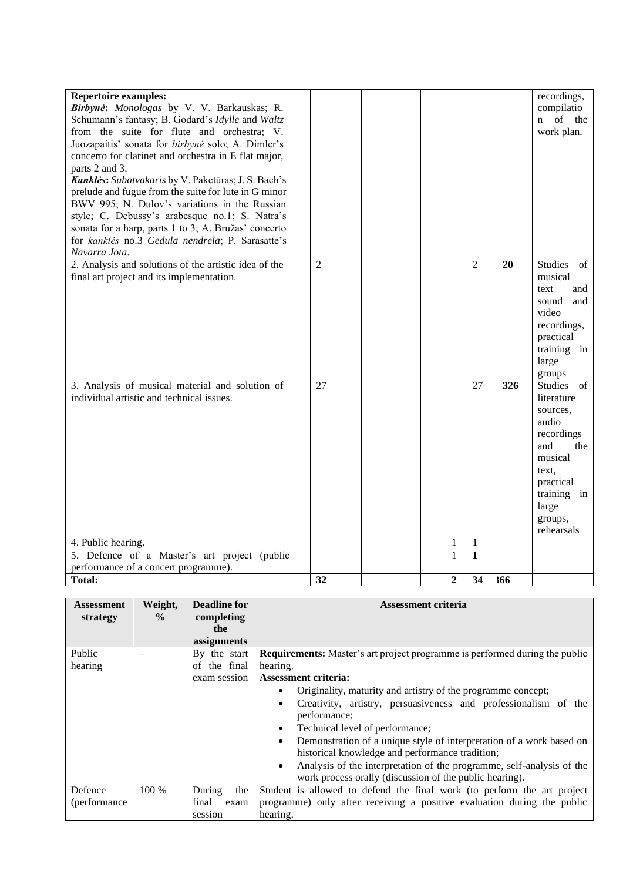| <b>Repertoire examples:</b><br>Birbynė: Monologas by V. V. Barkauskas; R.<br>Schumann's fantasy; B. Godard's Idylle and Waltz<br>from the suite for flute and orchestra; V.<br>Juozapaitis' sonata for birbynė solo; A. Dimler's<br>concerto for clarinet and orchestra in E flat major,<br>parts 2 and 3.<br>Kanklės: Subatvakaris by V. Paketūras; J. S. Bach's<br>prelude and fugue from the suite for lute in G minor<br>BWV 995; N. Dulov's variations in the Russian<br>style; C. Debussy's arabesque no.1; S. Natra's<br>sonata for a harp, parts 1 to 3; A. Bružas' concerto<br>for kanklės no.3 Gedula nendrela; P. Sarasatte's<br>Navarra Jota. |                |  |  |              |                |     | recordings,<br>compilatio<br>of the<br>$\mathbf{n}$<br>work plan.                                                                                           |
|-----------------------------------------------------------------------------------------------------------------------------------------------------------------------------------------------------------------------------------------------------------------------------------------------------------------------------------------------------------------------------------------------------------------------------------------------------------------------------------------------------------------------------------------------------------------------------------------------------------------------------------------------------------|----------------|--|--|--------------|----------------|-----|-------------------------------------------------------------------------------------------------------------------------------------------------------------|
| 2. Analysis and solutions of the artistic idea of the<br>final art project and its implementation.                                                                                                                                                                                                                                                                                                                                                                                                                                                                                                                                                        | $\overline{2}$ |  |  |              | $\overline{2}$ | 20  | <b>Studies</b><br>of<br>musical<br>text<br>and<br>sound<br>and<br>video<br>recordings,<br>practical<br>training in<br>large<br>groups                       |
| 3. Analysis of musical material and solution of<br>individual artistic and technical issues.                                                                                                                                                                                                                                                                                                                                                                                                                                                                                                                                                              | 27             |  |  |              | 27             | 326 | Studies of<br>literature<br>sources,<br>audio<br>recordings<br>and<br>the<br>musical<br>text.<br>practical<br>training in<br>large<br>groups,<br>rehearsals |
| 4. Public hearing.                                                                                                                                                                                                                                                                                                                                                                                                                                                                                                                                                                                                                                        |                |  |  | $\mathbf{1}$ | $\,1\,$        |     |                                                                                                                                                             |
| 5. Defence of a Master's art project (public                                                                                                                                                                                                                                                                                                                                                                                                                                                                                                                                                                                                              |                |  |  | $\mathbf{1}$ | $\mathbf{1}$   |     |                                                                                                                                                             |
| performance of a concert programme).<br><b>Total:</b>                                                                                                                                                                                                                                                                                                                                                                                                                                                                                                                                                                                                     | 32             |  |  | $\mathbf{2}$ | 34             | 666 |                                                                                                                                                             |

| <b>Assessment</b> | Weight,       | <b>Deadline for</b> | <b>Assessment criteria</b>                                                         |
|-------------------|---------------|---------------------|------------------------------------------------------------------------------------|
| strategy          | $\frac{0}{0}$ | completing          |                                                                                    |
|                   |               | the                 |                                                                                    |
|                   |               | assignments         |                                                                                    |
| Public            |               | By the start        | Requirements: Master's art project programme is performed during the public        |
| hearing           |               | the final<br>οf     | hearing.                                                                           |
|                   |               | exam session        | <b>Assessment criteria:</b>                                                        |
|                   |               |                     | Originality, maturity and artistry of the programme concept;<br>$\bullet$          |
|                   |               |                     | Creativity, artistry, persuasiveness and professionalism of the<br>$\bullet$       |
|                   |               |                     | performance:                                                                       |
|                   |               |                     | Technical level of performance;<br>$\bullet$                                       |
|                   |               |                     | Demonstration of a unique style of interpretation of a work based on<br>$\bullet$  |
|                   |               |                     | historical knowledge and performance tradition;                                    |
|                   |               |                     | Analysis of the interpretation of the programme, self-analysis of the<br>$\bullet$ |
|                   |               |                     | work process orally (discussion of the public hearing).                            |
| Defence           | 100 %         | During<br>the       | Student is allowed to defend the final work (to perform the art project            |
| (performance)     |               | final<br>exam       | programme) only after receiving a positive evaluation during the public            |
|                   |               | session             | hearing.                                                                           |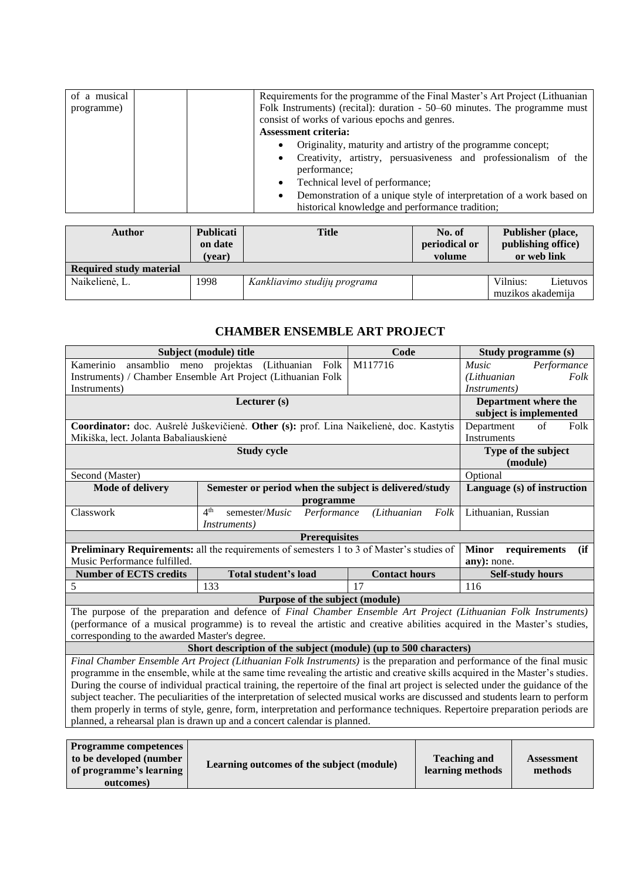| of a musical |                             | Requirements for the programme of the Final Master's Art Project (Lithuanian |
|--------------|-----------------------------|------------------------------------------------------------------------------|
| programme)   |                             | Folk Instruments) (recital): duration - 50–60 minutes. The programme must    |
|              |                             | consist of works of various epochs and genres.                               |
|              | <b>Assessment criteria:</b> |                                                                              |
|              | ٠                           | Originality, maturity and artistry of the programme concept;                 |
|              | $\bullet$                   | Creativity, artistry, persuasiveness and professionalism of the              |
|              |                             | performance:                                                                 |
|              | $\bullet$                   | Technical level of performance;                                              |
|              | ٠                           | Demonstration of a unique style of interpretation of a work based on         |
|              |                             | historical knowledge and performance tradition;                              |

| Author                         | <b>Publicati</b><br>on date<br>(vear) | <b>Title</b>                 | No. of<br>periodical or<br>volume | Publisher (place,<br>publishing office)<br>or web link |  |
|--------------------------------|---------------------------------------|------------------------------|-----------------------------------|--------------------------------------------------------|--|
| <b>Required study material</b> |                                       |                              |                                   |                                                        |  |
| Naikelienė, L.                 | 1998                                  | Kankliavimo studijų programa |                                   | Vilnius:<br>Lietuvos<br>muzikos akademija              |  |

### **CHAMBER ENSEMBLE ART PROJECT**

<span id="page-23-0"></span>

|                                                                                           | Subject (module) title                                                                                                            | Code                 | Study programme (s) |                                         |                                      |  |  |
|-------------------------------------------------------------------------------------------|-----------------------------------------------------------------------------------------------------------------------------------|----------------------|---------------------|-----------------------------------------|--------------------------------------|--|--|
| ansamblio meno projektas<br>Kamerinio                                                     | (Lithuanian Folk                                                                                                                  | M117716              |                     | Music                                   | Performance                          |  |  |
|                                                                                           | Instruments) / Chamber Ensemble Art Project (Lithuanian Folk                                                                      |                      |                     | (Lithuanian                             | Folk                                 |  |  |
| Instruments)                                                                              |                                                                                                                                   |                      |                     | <i>Instruments</i> )                    |                                      |  |  |
|                                                                                           | Lecturer (s)                                                                                                                      |                      |                     |                                         | Department where the                 |  |  |
|                                                                                           |                                                                                                                                   |                      |                     |                                         | subject is implemented               |  |  |
|                                                                                           | Coordinator: doc. Aušrelė Juškevičienė. Other (s): prof. Lina Naikelienė, doc. Kastytis                                           |                      |                     | Department                              | of<br>Folk                           |  |  |
| Mikiška, lect. Jolanta Babaliauskienė                                                     |                                                                                                                                   |                      |                     | <b>Instruments</b>                      |                                      |  |  |
|                                                                                           | <b>Study cycle</b>                                                                                                                |                      |                     |                                         | Type of the subject                  |  |  |
|                                                                                           |                                                                                                                                   |                      |                     |                                         | (module)                             |  |  |
| Second (Master)                                                                           |                                                                                                                                   |                      |                     | Optional                                |                                      |  |  |
| <b>Mode of delivery</b>                                                                   | Semester or period when the subject is delivered/study                                                                            |                      |                     |                                         | Language (s) of instruction          |  |  |
|                                                                                           | programme                                                                                                                         |                      |                     |                                         |                                      |  |  |
| Classwork                                                                                 | 4 <sup>th</sup><br>semester/Music<br>Performance                                                                                  | (Lithuanian          | Folk                | Lithuanian, Russian                     |                                      |  |  |
| <i>Instruments</i> )                                                                      |                                                                                                                                   |                      |                     |                                         |                                      |  |  |
| <b>Prerequisites</b>                                                                      |                                                                                                                                   |                      |                     |                                         |                                      |  |  |
| Preliminary Requirements: all the requirements of semesters 1 to 3 of Master's studies of |                                                                                                                                   |                      |                     |                                         | (ii)<br><b>Minor</b><br>requirements |  |  |
| Music Performance fulfilled.                                                              |                                                                                                                                   |                      |                     | any): none.                             |                                      |  |  |
| <b>Number of ECTS credits</b>                                                             | Total student's load                                                                                                              | <b>Contact hours</b> |                     | <b>Self-study hours</b>                 |                                      |  |  |
| 5                                                                                         | 133                                                                                                                               | 17                   |                     | 116                                     |                                      |  |  |
|                                                                                           | Purpose of the subject (module)                                                                                                   |                      |                     |                                         |                                      |  |  |
|                                                                                           | The purpose of the preparation and defence of Final Chamber Ensemble Art Project (Lithuanian Folk Instruments)                    |                      |                     |                                         |                                      |  |  |
|                                                                                           | (performance of a musical programme) is to reveal the artistic and creative abilities acquired in the Master's studies,           |                      |                     |                                         |                                      |  |  |
| corresponding to the awarded Master's degree.                                             |                                                                                                                                   |                      |                     |                                         |                                      |  |  |
|                                                                                           | Short description of the subject (module) (up to 500 characters)                                                                  |                      |                     |                                         |                                      |  |  |
|                                                                                           | Final Chamber Ensemble Art Project (Lithuanian Folk Instruments) is the preparation and performance of the final music            |                      |                     |                                         |                                      |  |  |
|                                                                                           | programme in the ensemble, while at the same time revealing the artistic and creative skills acquired in the Master's studies.    |                      |                     |                                         |                                      |  |  |
|                                                                                           | During the course of individual practical training, the repertoire of the final art project is selected under the guidance of the |                      |                     |                                         |                                      |  |  |
|                                                                                           | subject teacher. The peculiarities of the interpretation of selected musical works are discussed and students learn to perform    |                      |                     |                                         |                                      |  |  |
|                                                                                           | them properly in terms of style, genre, form, interpretation and performance techniques. Repertoire preparation periods are       |                      |                     |                                         |                                      |  |  |
|                                                                                           | planned, a rehearsal plan is drawn up and a concert calendar is planned.                                                          |                      |                     |                                         |                                      |  |  |
|                                                                                           |                                                                                                                                   |                      |                     |                                         |                                      |  |  |
| <b>Programme competences</b><br>1 1 1 1 1                                                 |                                                                                                                                   |                      |                     | $\mathbf{m}$ is the set of $\mathbf{m}$ |                                      |  |  |

| <b>Programme competences</b> |                                           |                     |                   |
|------------------------------|-------------------------------------------|---------------------|-------------------|
| to be developed (number      | Learning outcomes of the subject (module) | <b>Teaching and</b> | <b>Assessment</b> |
| of programme's learning      |                                           | learning methods    | methods           |
| outcomes)                    |                                           |                     |                   |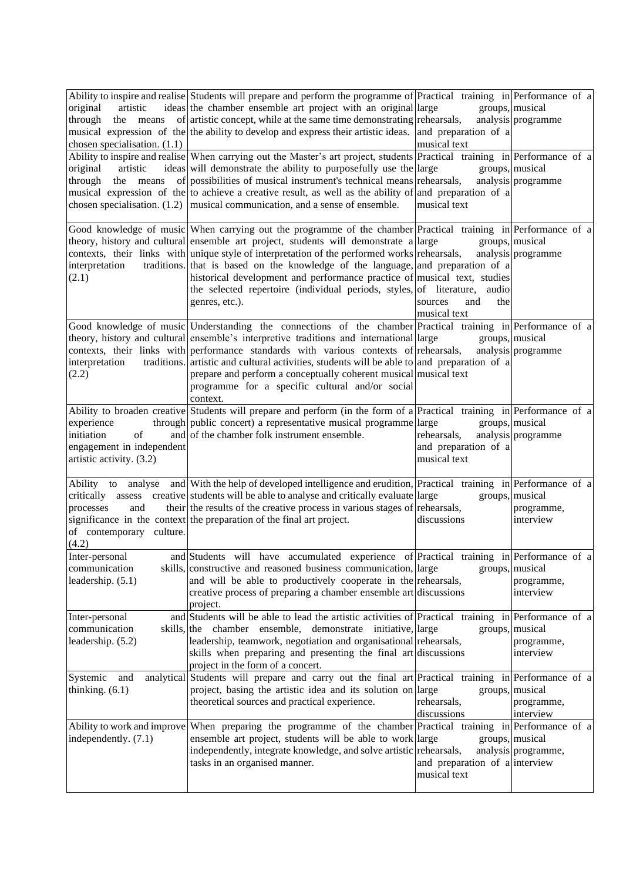| original<br>artistic<br>through<br>means<br>the<br>chosen specialisation. $(1.1)$<br>original<br>artistic<br>through | Ability to inspire and realise Students will prepare and perform the programme of Practical training in Performance of a<br>ideas the chamber ensemble art project with an original large<br>of artistic concept, while at the same time demonstrating rehearsals,<br>musical expression of the the ability to develop and express their artistic ideas. and preparation of a<br>Ability to inspire and realise When carrying out the Master's art project, students Practical training in Performance of a<br>ideas will demonstrate the ability to purposefully use the large<br>the means of possibilities of musical instrument's technical means rehearsals,<br>musical expression of the to achieve a creative result, as well as the ability of and preparation of a<br>chosen specialisation. $(1.2)$   musical communication, and a sense of ensemble. | musical text<br>musical text                        | groups, musical<br>analysis programme<br>groups, musical<br>analysis programme |
|----------------------------------------------------------------------------------------------------------------------|-----------------------------------------------------------------------------------------------------------------------------------------------------------------------------------------------------------------------------------------------------------------------------------------------------------------------------------------------------------------------------------------------------------------------------------------------------------------------------------------------------------------------------------------------------------------------------------------------------------------------------------------------------------------------------------------------------------------------------------------------------------------------------------------------------------------------------------------------------------------|-----------------------------------------------------|--------------------------------------------------------------------------------|
| interpretation<br>(2.1)                                                                                              | Good knowledge of music When carrying out the programme of the chamber Practical training in Performance of a<br>theory, history and cultural ensemble art project, students will demonstrate a large<br>contexts, their links with unique style of interpretation of the performed works rehearsals,<br>traditions. that is based on the knowledge of the language, and preparation of a<br>historical development and performance practice of musical text, studies<br>the selected repertoire (individual periods, styles, of literature,<br>genres, etc.).                                                                                                                                                                                                                                                                                                  | audio<br>and<br>the<br>sources<br>musical text      | groups, musical<br>analysis programme                                          |
| interpretation<br>(2.2)                                                                                              | Good knowledge of music Understanding the connections of the chamber Practical training in Performance of a<br>theory, history and cultural ensemble's interpretive traditions and international large<br>contexts, their links with performance standards with various contexts of rehearsals,<br>traditions. artistic and cultural activities, students will be able to and preparation of a<br>prepare and perform a conceptually coherent musical musical text<br>programme for a specific cultural and/or social<br>context.                                                                                                                                                                                                                                                                                                                               |                                                     | groups, musical<br>analysis programme                                          |
| experience<br>initiation<br>of<br>engagement in independent<br>artistic activity. (3.2)                              | Ability to broaden creative Students will prepare and perform (in the form of a Practical training in Performance of a<br>through public concert) a representative musical programme large<br>and of the chamber folk instrument ensemble.                                                                                                                                                                                                                                                                                                                                                                                                                                                                                                                                                                                                                      | rehearsals,<br>and preparation of a<br>musical text | groups, musical<br>analysis programme                                          |
| processes<br>and<br>of contemporary culture.<br>(4.2)                                                                | Ability to analyse and With the help of developed intelligence and erudition, Practical training in Performance of a<br>critically assess creative students will be able to analyse and critically evaluate large<br>their the results of the creative process in various stages of rehearsals,<br>significance in the context the preparation of the final art project.                                                                                                                                                                                                                                                                                                                                                                                                                                                                                        | discussions                                         | groups, musical<br>programme,<br>interview                                     |
| Inter-personal<br>communication<br>leadership. (5.1)                                                                 | and Students will have accumulated experience of Practical training in Performance of a<br>skills, constructive and reasoned business communication, large<br>and will be able to productively cooperate in the rehearsals,<br>creative process of preparing a chamber ensemble art discussions<br>project.                                                                                                                                                                                                                                                                                                                                                                                                                                                                                                                                                     |                                                     | groups, musical<br>programme,<br>interview                                     |
| Inter-personal<br>communication<br>leadership. (5.2)                                                                 | and Students will be able to lead the artistic activities of Practical training in Performance of a<br>skills, the chamber ensemble, demonstrate initiative, large<br>leadership, teamwork, negotiation and organisational rehearsals,<br>skills when preparing and presenting the final art discussions<br>project in the form of a concert.                                                                                                                                                                                                                                                                                                                                                                                                                                                                                                                   |                                                     | groups, musical<br>programme,<br>interview                                     |
| Systemic<br>and<br>thinking. $(6.1)$                                                                                 | analytical Students will prepare and carry out the final art Practical training in Performance of a<br>project, basing the artistic idea and its solution on large<br>theoretical sources and practical experience.                                                                                                                                                                                                                                                                                                                                                                                                                                                                                                                                                                                                                                             | rehearsals,<br>discussions                          | groups, musical<br>programme,<br>interview                                     |
| independently. (7.1)                                                                                                 | Ability to work and improve When preparing the programme of the chamber Practical training in Performance of a<br>ensemble art project, students will be able to work large<br>independently, integrate knowledge, and solve artistic rehearsals,<br>tasks in an organised manner.                                                                                                                                                                                                                                                                                                                                                                                                                                                                                                                                                                              | and preparation of a interview<br>musical text      | groups, musical<br>analysis programme,                                         |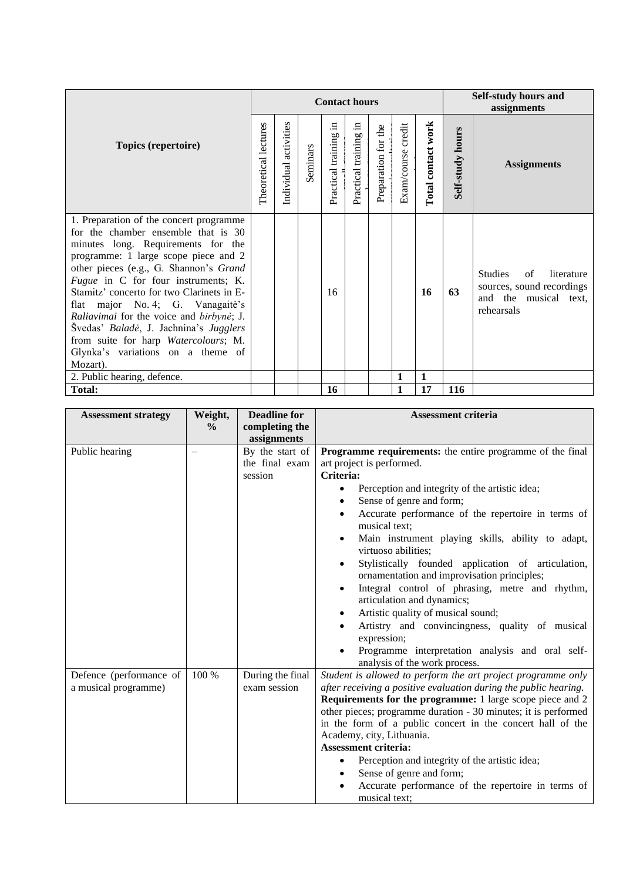| Topics (repertoire)                                                                                                                                                                                                                                                                                                                                                                                                                                                                                           |  | <b>Contact hours</b>     |          |                          |                          |                     |                    |                    | <b>Self-study hours and</b><br>assignments |                                                                                                        |  |
|---------------------------------------------------------------------------------------------------------------------------------------------------------------------------------------------------------------------------------------------------------------------------------------------------------------------------------------------------------------------------------------------------------------------------------------------------------------------------------------------------------------|--|--------------------------|----------|--------------------------|--------------------------|---------------------|--------------------|--------------------|--------------------------------------------|--------------------------------------------------------------------------------------------------------|--|
|                                                                                                                                                                                                                                                                                                                                                                                                                                                                                                               |  | activities<br>Individual | Seminars | Ξ.<br>Practical training | .크<br>Practical training | Preparation for the | Exam/course credit | Total contact work | Self-study hours                           | <b>Assignments</b>                                                                                     |  |
| 1. Preparation of the concert programme<br>for the chamber ensemble that is 30<br>minutes long. Requirements for the<br>programme: 1 large scope piece and 2<br>other pieces (e.g., G. Shannon's Grand<br>Fugue in C for four instruments; K.<br>Stamitz' concerto for two Clarinets in E-<br>flat major No. 4; G. Vanagaitė's<br>Raliavimai for the voice and birbynė; J.<br>Švedas' Baladė, J. Jachnina's Jugglers<br>from suite for harp Watercolours; M.<br>Glynka's variations on a theme of<br>Mozart). |  |                          |          | 16                       |                          |                     |                    | 16                 | 63                                         | <b>Studies</b><br>of<br>literature<br>sources, sound recordings<br>and the musical text,<br>rehearsals |  |
| 2. Public hearing, defence.                                                                                                                                                                                                                                                                                                                                                                                                                                                                                   |  |                          |          |                          |                          |                     | 1                  | $\mathbf{1}$       |                                            |                                                                                                        |  |
| <b>Total:</b>                                                                                                                                                                                                                                                                                                                                                                                                                                                                                                 |  |                          |          | 16                       |                          |                     | 1                  | 17                 | <b>116</b>                                 |                                                                                                        |  |

| <b>Assessment strategy</b> | Weight,       | <b>Deadline for</b> | <b>Assessment criteria</b>                                                                        |
|----------------------------|---------------|---------------------|---------------------------------------------------------------------------------------------------|
|                            | $\frac{0}{0}$ | completing the      |                                                                                                   |
|                            |               | assignments         |                                                                                                   |
| Public hearing             |               | By the start of     | <b>Programme requirements:</b> the entire programme of the final                                  |
|                            |               | the final exam      | art project is performed.                                                                         |
|                            |               | session             | Criteria:                                                                                         |
|                            |               |                     | Perception and integrity of the artistic idea;                                                    |
|                            |               |                     | Sense of genre and form;                                                                          |
|                            |               |                     | Accurate performance of the repertoire in terms of<br>musical text;                               |
|                            |               |                     | Main instrument playing skills, ability to adapt,<br>$\bullet$<br>virtuoso abilities;             |
|                            |               |                     | Stylistically founded application of articulation,<br>ornamentation and improvisation principles; |
|                            |               |                     | Integral control of phrasing, metre and rhythm,                                                   |
|                            |               |                     | articulation and dynamics;                                                                        |
|                            |               |                     | Artistic quality of musical sound;                                                                |
|                            |               |                     | Artistry and convincingness, quality of musical                                                   |
|                            |               |                     | expression;                                                                                       |
|                            |               |                     | Programme interpretation analysis and oral self-                                                  |
|                            |               |                     | analysis of the work process.                                                                     |
| Defence (performance of    | $100\%$       | During the final    | Student is allowed to perform the art project programme only                                      |
| a musical programme)       |               | exam session        | after receiving a positive evaluation during the public hearing.                                  |
|                            |               |                     | <b>Requirements for the programme:</b> 1 large scope piece and 2                                  |
|                            |               |                     | other pieces; programme duration - 30 minutes; it is performed                                    |
|                            |               |                     | in the form of a public concert in the concert hall of the                                        |
|                            |               |                     | Academy, city, Lithuania.                                                                         |
|                            |               |                     | <b>Assessment criteria:</b>                                                                       |
|                            |               |                     | Perception and integrity of the artistic idea;                                                    |
|                            |               |                     | Sense of genre and form;                                                                          |
|                            |               |                     | Accurate performance of the repertoire in terms of                                                |
|                            |               |                     | musical text;                                                                                     |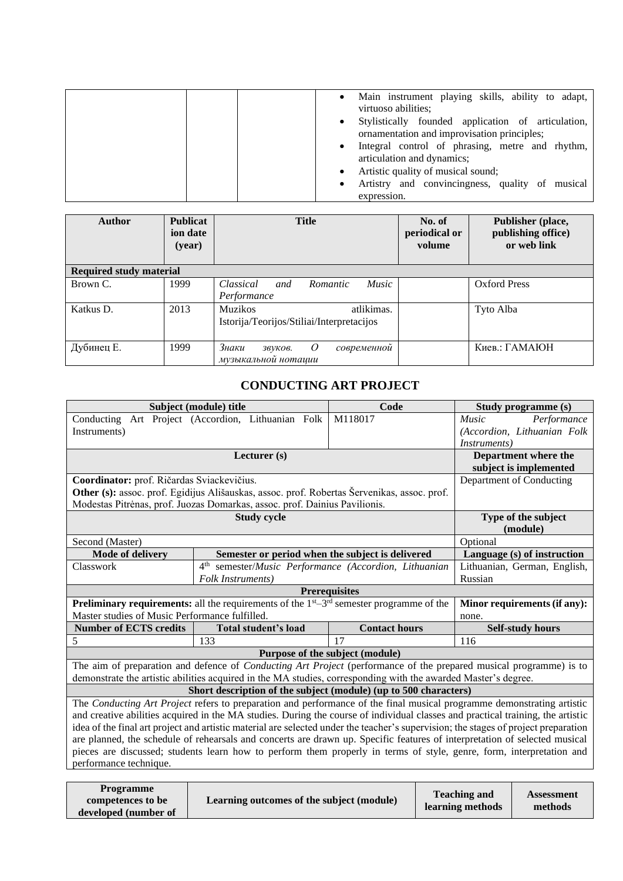| Main instrument playing skills, ability to adapt,<br>virtuoso abilities;<br>Stylistically founded application of articulation,<br>ornamentation and improvisation principles;<br>Integral control of phrasing, metre and rhythm,<br>articulation and dynamics; |
|----------------------------------------------------------------------------------------------------------------------------------------------------------------------------------------------------------------------------------------------------------------|
| Artistic quality of musical sound;<br>Artistry and convincingness, quality of musical<br>expression.                                                                                                                                                           |

| Author                         | <b>Publicat</b><br>ion date<br>(year) | <b>Title</b>                                                              | No. of<br>periodical or<br>volume | Publisher (place,<br>publishing office)<br>or web link |
|--------------------------------|---------------------------------------|---------------------------------------------------------------------------|-----------------------------------|--------------------------------------------------------|
| <b>Required study material</b> |                                       |                                                                           |                                   |                                                        |
| Brown C.                       | 1999                                  | <i>Music</i><br><i>Classical</i><br><i>Romantic</i><br>and<br>Performance |                                   | Oxford Press                                           |
| Katkus D.                      | 2013                                  | atlikimas.<br><b>Muzikos</b><br>Istorija/Teorijos/Stiliai/Interpretacijos |                                   | Tyto Alba                                              |
| Дубинец Е.                     | 1999                                  | Знаки<br>$\theta$<br>современной<br>36УКО6.<br>музыкальной нотации        |                                   | Киев.: ГАМАЮН                                          |

## **CONDUCTING ART PROJECT**

<span id="page-26-0"></span>

|                                                                                                                      | Subject (module) title                                                                                                              | Code                            | Study programme (s)          |  |  |
|----------------------------------------------------------------------------------------------------------------------|-------------------------------------------------------------------------------------------------------------------------------------|---------------------------------|------------------------------|--|--|
|                                                                                                                      | Conducting Art Project (Accordion, Lithuanian Folk                                                                                  | M118017                         | Performance<br><i>Music</i>  |  |  |
| Instruments)                                                                                                         |                                                                                                                                     |                                 | (Accordion, Lithuanian Folk  |  |  |
|                                                                                                                      |                                                                                                                                     |                                 | <i>Instruments</i> )         |  |  |
|                                                                                                                      | Department where the                                                                                                                |                                 |                              |  |  |
|                                                                                                                      |                                                                                                                                     |                                 | subject is implemented       |  |  |
| Coordinator: prof. Ričardas Sviackevičius.                                                                           | Department of Conducting                                                                                                            |                                 |                              |  |  |
|                                                                                                                      | Other (s): assoc. prof. Egidijus Ališauskas, assoc. prof. Robertas Šervenikas, assoc. prof.                                         |                                 |                              |  |  |
|                                                                                                                      | Modestas Pitrėnas, prof. Juozas Domarkas, assoc. prof. Dainius Pavilionis.                                                          |                                 |                              |  |  |
|                                                                                                                      | <b>Study cycle</b>                                                                                                                  |                                 | Type of the subject          |  |  |
|                                                                                                                      |                                                                                                                                     |                                 | (module)                     |  |  |
| Second (Master)                                                                                                      |                                                                                                                                     |                                 | Optional                     |  |  |
| <b>Mode of delivery</b>                                                                                              | Semester or period when the subject is delivered                                                                                    |                                 |                              |  |  |
| Classwork                                                                                                            | $4^{\text{th}}$<br>semester/Music Performance (Accordion, Lithuanian                                                                |                                 |                              |  |  |
|                                                                                                                      | <b>Folk Instruments</b> )                                                                                                           |                                 | Russian                      |  |  |
|                                                                                                                      |                                                                                                                                     | <b>Prerequisites</b>            |                              |  |  |
|                                                                                                                      | <b>Preliminary requirements:</b> all the requirements of the $1st-3rd$ semester programme of the                                    |                                 | Minor requirements (if any): |  |  |
| Master studies of Music Performance fulfilled.                                                                       |                                                                                                                                     |                                 | none.                        |  |  |
| <b>Number of ECTS credits</b>                                                                                        | Total student's load                                                                                                                | <b>Contact hours</b>            | <b>Self-study hours</b>      |  |  |
| 5                                                                                                                    | 133                                                                                                                                 | 17                              | 116                          |  |  |
|                                                                                                                      |                                                                                                                                     | Purpose of the subject (module) |                              |  |  |
|                                                                                                                      | The aim of preparation and defence of <i>Conducting Art Project</i> (performance of the prepared musical programme) is to           |                                 |                              |  |  |
|                                                                                                                      | demonstrate the artistic abilities acquired in the MA studies, corresponding with the awarded Master's degree.                      |                                 |                              |  |  |
|                                                                                                                      | Short description of the subject (module) (up to 500 characters)                                                                    |                                 |                              |  |  |
|                                                                                                                      | The Conducting Art Project refers to preparation and performance of the final musical programme demonstrating artistic              |                                 |                              |  |  |
|                                                                                                                      | and creative abilities acquired in the MA studies. During the course of individual classes and practical training, the artistic     |                                 |                              |  |  |
|                                                                                                                      | idea of the final art project and artistic material are selected under the teacher's supervision; the stages of project preparation |                                 |                              |  |  |
|                                                                                                                      | are planned, the schedule of rehearsals and concerts are drawn up. Specific features of interpretation of selected musical          |                                 |                              |  |  |
| pieces are discussed; students learn how to perform them properly in terms of style, genre, form, interpretation and |                                                                                                                                     |                                 |                              |  |  |
| performance technique.                                                                                               |                                                                                                                                     |                                 |                              |  |  |
|                                                                                                                      |                                                                                                                                     |                                 |                              |  |  |
| Programme                                                                                                            |                                                                                                                                     |                                 |                              |  |  |

| <b>Programme</b>     |                                           | <b>Teaching and</b> | <b>Assessment</b> |
|----------------------|-------------------------------------------|---------------------|-------------------|
| competences to be    | Learning outcomes of the subject (module) | learning methods    | methods           |
| developed (number of |                                           |                     |                   |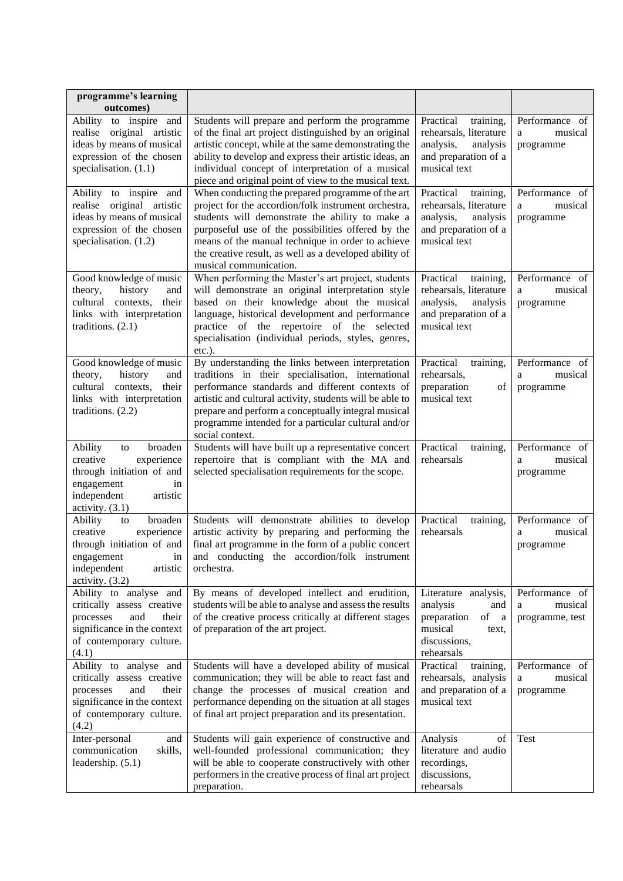| programme's learning<br>outcomes)                                                                                                                     |                                                                                                                                                                                                                                                                                                                                                             |                                                                                                                                |                                                   |
|-------------------------------------------------------------------------------------------------------------------------------------------------------|-------------------------------------------------------------------------------------------------------------------------------------------------------------------------------------------------------------------------------------------------------------------------------------------------------------------------------------------------------------|--------------------------------------------------------------------------------------------------------------------------------|---------------------------------------------------|
| Ability to inspire and<br>realise original artistic<br>ideas by means of musical<br>expression of the chosen<br>specialisation. $(1.1)$               | Students will prepare and perform the programme<br>of the final art project distinguished by an original<br>artistic concept, while at the same demonstrating the<br>ability to develop and express their artistic ideas, an<br>individual concept of interpretation of a musical<br>piece and original point of view to the musical text.                  | Practical<br>training,<br>rehearsals, literature<br>analysis,<br>analysis<br>and preparation of a<br>musical text              | Performance of<br>musical<br>a<br>programme       |
| Ability to inspire and<br>realise<br>original artistic<br>ideas by means of musical<br>expression of the chosen<br>specialisation. (1.2)              | When conducting the prepared programme of the art<br>project for the accordion/folk instrument orchestra,<br>students will demonstrate the ability to make a<br>purposeful use of the possibilities offered by the<br>means of the manual technique in order to achieve<br>the creative result, as well as a developed ability of<br>musical communication. | Practical<br>training,<br>rehearsals, literature<br>analysis,<br>analysis<br>and preparation of a<br>musical text              | Performance of<br>musical<br>a<br>programme       |
| Good knowledge of music<br>history<br>theory,<br>and<br>cultural contexts,<br>their<br>links with interpretation<br>traditions. $(2.1)$               | When performing the Master's art project, students<br>will demonstrate an original interpretation style<br>based on their knowledge about the musical<br>language, historical development and performance<br>practice of the repertoire of the selected<br>specialisation (individual periods, styles, genres,<br>etc.).                                    | Practical<br>training,<br>rehearsals, literature<br>analysis,<br>analysis<br>and preparation of a<br>musical text              | Performance of<br>musical<br>a<br>programme       |
| Good knowledge of music<br>theory,<br>history<br>and<br>cultural<br>contexts,<br>their<br>links with interpretation<br>traditions. $(2.2)$            | By understanding the links between interpretation<br>traditions in their specialisation, international<br>performance standards and different contexts of<br>artistic and cultural activity, students will be able to<br>prepare and perform a conceptually integral musical<br>programme intended for a particular cultural and/or<br>social context.      | Practical<br>training,<br>rehearsals,<br>preparation<br>of<br>musical text                                                     | Performance of<br>musical<br>a<br>programme       |
| broaden<br>Ability<br>to<br>experience<br>creative<br>through initiation of and<br>engagement<br>in<br>independent<br>artistic<br>activity. $(3.1)$   | Students will have built up a representative concert<br>repertoire that is compliant with the MA and<br>selected specialisation requirements for the scope.                                                                                                                                                                                                 | Practical<br>training,<br>rehearsals                                                                                           | Performance of<br>musical<br>a<br>programme       |
| broaden<br>Ability<br>to<br>creative<br>experience<br>through initiation of and<br>engagement<br>1n<br>independent<br>artistic<br>activity. (3.2)     | Students will demonstrate abilities to develop<br>artistic activity by preparing and performing the<br>final art programme in the form of a public concert<br>and conducting the accordion/folk instrument<br>orchestra.                                                                                                                                    | Practical<br>training,<br>rehearsals                                                                                           | Performance of<br>musical<br>a<br>programme       |
| Ability to analyse and<br>critically assess creative<br>processes<br>and<br>their<br>significance in the context<br>of contemporary culture.<br>(4.1) | By means of developed intellect and erudition,<br>students will be able to analyse and assess the results<br>of the creative process critically at different stages<br>of preparation of the art project.                                                                                                                                                   | Literature analysis,<br>analysis<br>and<br>preparation<br>of<br><sub>a</sub><br>musical<br>text,<br>discussions,<br>rehearsals | Performance of<br>musical<br>a<br>programme, test |
| Ability to analyse and<br>critically assess creative<br>processes<br>and<br>their<br>significance in the context<br>of contemporary culture.<br>(4.2) | Students will have a developed ability of musical<br>communication; they will be able to react fast and<br>change the processes of musical creation and<br>performance depending on the situation at all stages<br>of final art project preparation and its presentation.                                                                                   | Practical<br>training,<br>rehearsals, analysis<br>and preparation of a<br>musical text                                         | Performance of<br>musical<br>a<br>programme       |
| Inter-personal<br>and<br>communication<br>skills,<br>leadership. (5.1)                                                                                | Students will gain experience of constructive and<br>well-founded professional communication; they<br>will be able to cooperate constructively with other<br>performers in the creative process of final art project<br>preparation.                                                                                                                        | Analysis<br>οf<br>literature and audio<br>recordings,<br>discussions,<br>rehearsals                                            | Test                                              |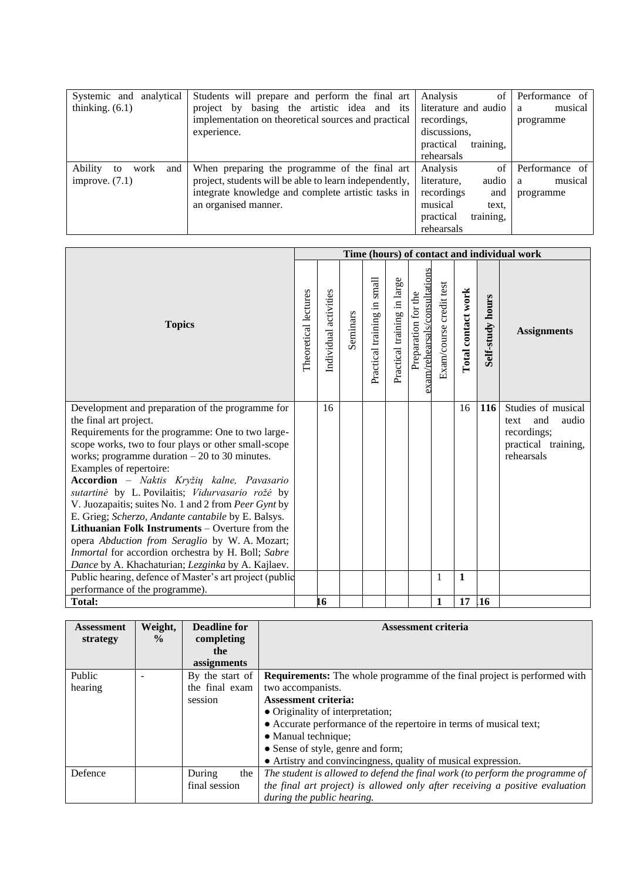| analytical<br>Systemic and   | Students will prepare and perform the final art        | of<br>Analysis         | Performance of |
|------------------------------|--------------------------------------------------------|------------------------|----------------|
| thinking. $(6.1)$            | basing the artistic idea and its<br>project by         | literature and audio   | musical<br>a   |
|                              | implementation on theoretical sources and practical    | recordings.            | programme      |
|                              | experience.                                            | discussions,           |                |
|                              |                                                        | training,<br>practical |                |
|                              |                                                        | rehearsals             |                |
| Ability<br>work<br>and<br>to | When preparing the programme of the final art          | of<br>Analysis         | Performance of |
| improve. $(7.1)$             | project, students will be able to learn independently, | audio<br>literature,   | musical<br>a   |
|                              | integrate knowledge and complete artistic tasks in     | recordings<br>and      | programme      |
|                              | an organised manner.                                   | musical<br>text.       |                |
|                              |                                                        | training,<br>practical |                |
|                              |                                                        | rehearsals             |                |

|                                                                                                                                                                                                                                                                                                                                                                                                                                                                                                                                                                                                                                                                                                            | Time (hours) of contact and individual work |                       |          |                             |                             |                                                      |                         |                    |                         |                                                                                                |
|------------------------------------------------------------------------------------------------------------------------------------------------------------------------------------------------------------------------------------------------------------------------------------------------------------------------------------------------------------------------------------------------------------------------------------------------------------------------------------------------------------------------------------------------------------------------------------------------------------------------------------------------------------------------------------------------------------|---------------------------------------------|-----------------------|----------|-----------------------------|-----------------------------|------------------------------------------------------|-------------------------|--------------------|-------------------------|------------------------------------------------------------------------------------------------|
| <b>Topics</b>                                                                                                                                                                                                                                                                                                                                                                                                                                                                                                                                                                                                                                                                                              | Theoretical lectures                        | Individual activities | Seminars | Practical training in small | Practical training in large | exam/rehearsals/consultations<br>Preparation for the | Exam/course credit test | Total contact work | <b>Self-study hours</b> | <b>Assignments</b>                                                                             |
| Development and preparation of the programme for<br>the final art project.<br>Requirements for the programme: One to two large-<br>scope works, two to four plays or other small-scope<br>works; programme duration $-20$ to 30 minutes.<br>Examples of repertoire:<br>Accordion - Naktis Kryžių kalne, Pavasario<br>sutartinė by L. Povilaitis; Vidurvasario rožė by<br>V. Juozapaitis; suites No. 1 and 2 from Peer Gynt by<br>E. Grieg; Scherzo, Andante cantabile by E. Balsys.<br><b>Lithuanian Folk Instruments</b> – Overture from the<br>opera Abduction from Seraglio by W. A. Mozart;<br>Inmortal for accordion orchestra by H. Boll; Sabre<br>Dance by A. Khachaturian; Lezginka by A. Kajlaev. |                                             | 16                    |          |                             |                             |                                                      |                         | 16                 | <b>116</b>              | Studies of musical<br>and<br>audio<br>text<br>recordings;<br>practical training,<br>rehearsals |
| Public hearing, defence of Master's art project (public<br>performance of the programme).                                                                                                                                                                                                                                                                                                                                                                                                                                                                                                                                                                                                                  |                                             |                       |          |                             |                             |                                                      | 1                       | $\mathbf{1}$       |                         |                                                                                                |
| <b>Total:</b>                                                                                                                                                                                                                                                                                                                                                                                                                                                                                                                                                                                                                                                                                              |                                             | 16                    |          |                             |                             |                                                      | $\mathbf{1}$            | 17                 | <b>16</b>               |                                                                                                |

| <b>Assessment</b> | Weight,       | <b>Deadline for</b> | <b>Assessment criteria</b>                                                      |
|-------------------|---------------|---------------------|---------------------------------------------------------------------------------|
| strategy          | $\frac{0}{0}$ | completing          |                                                                                 |
|                   |               | the                 |                                                                                 |
|                   |               | assignments         |                                                                                 |
| <b>Public</b>     |               | By the start of     | <b>Requirements:</b> The whole programme of the final project is performed with |
| hearing           |               | the final exam      | two accompanists.                                                               |
|                   |               | session             | <b>Assessment criteria:</b>                                                     |
|                   |               |                     | • Originality of interpretation;                                                |
|                   |               |                     | • Accurate performance of the repertoire in terms of musical text;              |
|                   |               |                     | • Manual technique;                                                             |
|                   |               |                     | • Sense of style, genre and form;                                               |
|                   |               |                     | • Artistry and convincingness, quality of musical expression.                   |
| Defence           |               | During<br>the       | The student is allowed to defend the final work (to perform the programme of    |
|                   |               | final session       | the final art project) is allowed only after receiving a positive evaluation    |
|                   |               |                     | during the public hearing.                                                      |